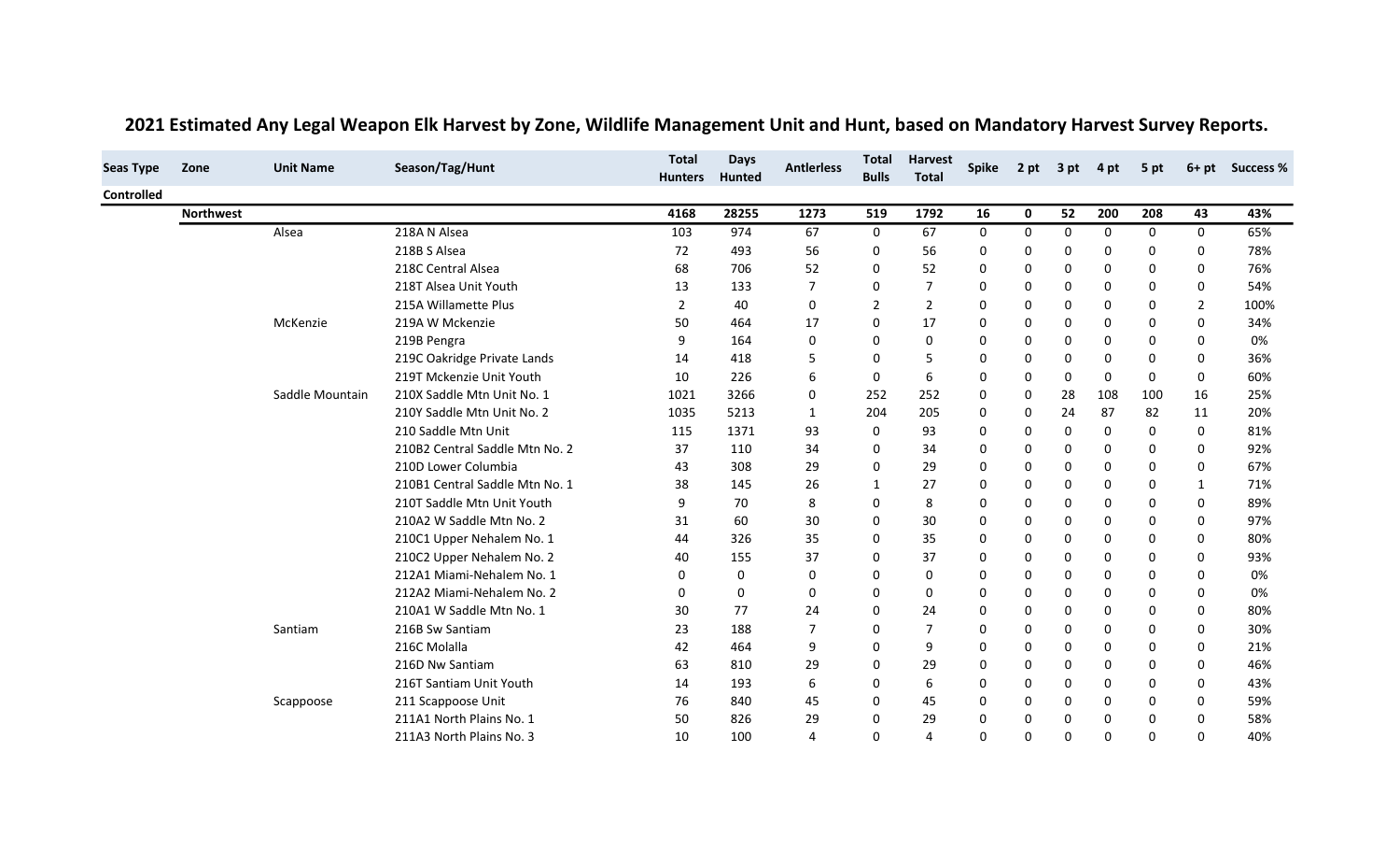| <b>Seas Type</b> | Zone             | <b>Unit Name</b> | Season/Tag/Hunt                | <b>Total</b><br><b>Hunters</b> | <b>Days</b><br>Hunted | <b>Antierless</b> | <b>Total</b><br><b>Bulls</b> | <b>Harvest</b><br><b>Total</b> | <b>Spike</b> | 2 pt        | 3 pt     | 4 pt        | 5 pt         |                | 6+ pt Success % |
|------------------|------------------|------------------|--------------------------------|--------------------------------|-----------------------|-------------------|------------------------------|--------------------------------|--------------|-------------|----------|-------------|--------------|----------------|-----------------|
| Controlled       |                  |                  |                                |                                |                       |                   |                              |                                |              |             |          |             |              |                |                 |
|                  | <b>Northwest</b> |                  |                                | 4168                           | 28255                 | 1273              | 519                          | 1792                           | 16           | 0           | 52       | 200         | 208          | 43             | 43%             |
|                  |                  | Alsea            | 218A N Alsea                   | 103                            | 974                   | 67                | 0                            | 67                             | 0            | 0           | 0        | 0           | 0            | 0              | 65%             |
|                  |                  |                  | 218B S Alsea                   | 72                             | 493                   | 56                | 0                            | 56                             | 0            | 0           | 0        | $\mathbf 0$ | $\Omega$     | 0              | 78%             |
|                  |                  |                  | 218C Central Alsea             | 68                             | 706                   | 52                | 0                            | 52                             | 0            | $\mathbf 0$ | 0        | $\Omega$    | 0            | 0              | 76%             |
|                  |                  |                  | 218T Alsea Unit Youth          | 13                             | 133                   | $\overline{7}$    | 0                            |                                | 0            | 0           | $\Omega$ | $\Omega$    | 0            | 0              | 54%             |
|                  |                  |                  | 215A Willamette Plus           | $\overline{2}$                 | 40                    | 0                 | $\overline{2}$               | $\overline{2}$                 | $\Omega$     | 0           | $\Omega$ | $\mathbf 0$ | 0            | $\overline{2}$ | 100%            |
|                  |                  | McKenzie         | 219A W Mckenzie                | 50                             | 464                   | 17                | 0                            | 17                             | 0            | 0           | 0        | 0           | $\Omega$     | 0              | 34%             |
|                  |                  |                  | 219B Pengra                    | 9                              | 164                   | 0                 | 0                            | $\mathbf 0$                    | 0            | 0           | 0        | $\mathbf 0$ | $\Omega$     | 0              | 0%              |
|                  |                  |                  | 219C Oakridge Private Lands    | 14                             | 418                   | 5                 | 0                            | 5                              | $\Omega$     | $\mathbf 0$ | 0        | 0           | $\Omega$     | 0              | 36%             |
|                  |                  |                  | 219T Mckenzie Unit Youth       | 10                             | 226                   | 6                 | 0                            | 6                              | 0            | $\mathbf 0$ | 0        | 0           | $\Omega$     | 0              | 60%             |
|                  |                  | Saddle Mountain  | 210X Saddle Mtn Unit No. 1     | 1021                           | 3266                  | 0                 | 252                          | 252                            | 0            | 0           | 28       | 108         | 100          | 16             | 25%             |
|                  |                  |                  | 210Y Saddle Mtn Unit No. 2     | 1035                           | 5213                  | $\mathbf{1}$      | 204                          | 205                            | 0            | 0           | 24       | 87          | 82           | 11             | 20%             |
|                  |                  |                  | 210 Saddle Mtn Unit            | 115                            | 1371                  | 93                | 0                            | 93                             | $\Omega$     | $\mathbf 0$ | 0        | 0           | $\Omega$     | 0              | 81%             |
|                  |                  |                  | 210B2 Central Saddle Mtn No. 2 | 37                             | 110                   | 34                | 0                            | 34                             | 0            | 0           | 0        | 0           | 0            | 0              | 92%             |
|                  |                  |                  | 210D Lower Columbia            | 43                             | 308                   | 29                | 0                            | 29                             | 0            | $\mathbf 0$ | $\Omega$ | $\Omega$    | $\Omega$     | 0              | 67%             |
|                  |                  |                  | 210B1 Central Saddle Mtn No. 1 | 38                             | 145                   | 26                | $\mathbf{1}$                 | 27                             | 0            | 0           | 0        | $\mathbf 0$ | $\Omega$     | 1              | 71%             |
|                  |                  |                  | 210T Saddle Mtn Unit Youth     | 9                              | 70                    | 8                 | 0                            | 8                              | 0            | $\mathbf 0$ | 0        | $\Omega$    | $\Omega$     | 0              | 89%             |
|                  |                  |                  | 210A2 W Saddle Mtn No. 2       | 31                             | 60                    | 30                | 0                            | 30                             | 0            | 0           | $\Omega$ | 0           | $\Omega$     | 0              | 97%             |
|                  |                  |                  | 210C1 Upper Nehalem No. 1      | 44                             | 326                   | 35                | 0                            | 35                             | 0            | $\mathbf 0$ | 0        | $\mathbf 0$ | $\Omega$     | 0              | 80%             |
|                  |                  |                  | 210C2 Upper Nehalem No. 2      | 40                             | 155                   | 37                | 0                            | 37                             | 0            | $\mathbf 0$ | 0        | 0           | 0            | 0              | 93%             |
|                  |                  |                  | 212A1 Miami-Nehalem No. 1      | 0                              | 0                     | 0                 | 0                            | 0                              | 0            | 0           | $\Omega$ | $\Omega$    | $\Omega$     | 0              | 0%              |
|                  |                  |                  | 212A2 Miami-Nehalem No. 2      | 0                              | 0                     | 0                 | 0                            | 0                              | 0            | 0           | 0        | 0           | $\Omega$     | 0              | 0%              |
|                  |                  |                  | 210A1 W Saddle Mtn No. 1       | 30                             | 77                    | 24                | 0                            | 24                             | 0            | 0           | 0        | $\mathbf 0$ | $\Omega$     | 0              | 80%             |
|                  |                  | Santiam          | 216B Sw Santiam                | 23                             | 188                   | 7                 | 0                            |                                | 0            | $\mathbf 0$ | 0        | 0           | 0            | 0              | 30%             |
|                  |                  |                  | 216C Molalla                   | 42                             | 464                   | 9                 | 0                            | 9                              | 0            | $\mathbf 0$ | 0        | 0           | $\Omega$     | 0              | 21%             |
|                  |                  |                  | 216D Nw Santiam                | 63                             | 810                   | 29                | 0                            | 29                             | $\Omega$     | 0           | 0        | 0           | $\Omega$     | 0              | 46%             |
|                  |                  |                  | 216T Santiam Unit Youth        | 14                             | 193                   | 6                 | 0                            | 6                              | 0            | $\mathbf 0$ | 0        | $\mathbf 0$ | $\Omega$     | 0              | 43%             |
|                  |                  | Scappoose        | 211 Scappoose Unit             | 76                             | 840                   | 45                | 0                            | 45                             | O            | $\mathbf 0$ | 0        | $\Omega$    | $\Omega$     | 0              | 59%             |
|                  |                  |                  | 211A1 North Plains No. 1       | 50                             | 826                   | 29                | 0                            | 29                             | 0            | 0           | 0        | 0           | $\Omega$     | $\Omega$       | 58%             |
|                  |                  |                  | 211A3 North Plains No. 3       | 10                             | 100                   | 4                 | 0                            |                                | O            | $\Omega$    | $\Omega$ | $\Omega$    | <sup>0</sup> | 0              | 40%             |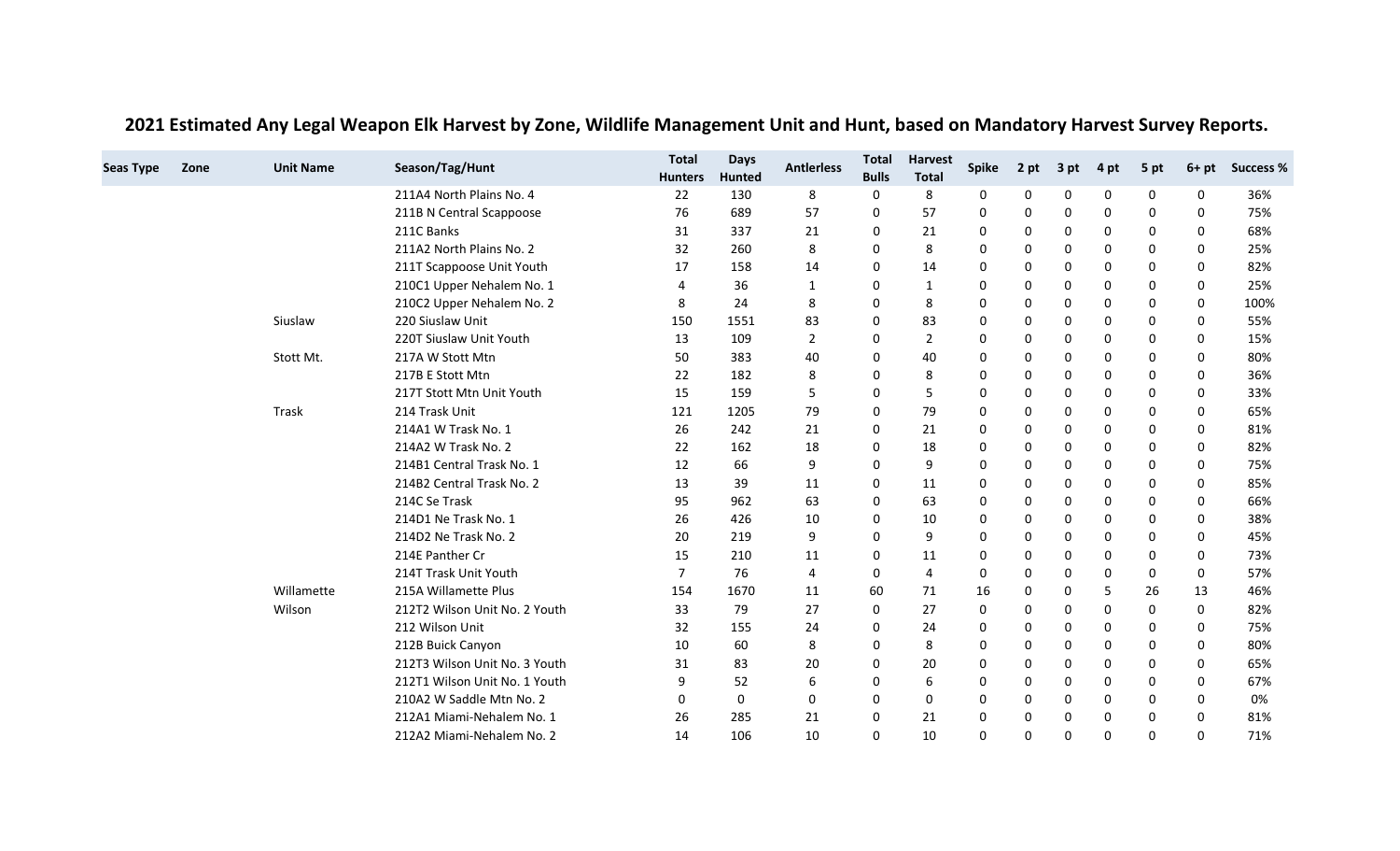| <b>Seas Type</b> | Zone | <b>Unit Name</b> | Season/Tag/Hunt               | <b>Total</b><br><b>Hunters</b> | <b>Days</b><br><b>Hunted</b> | <b>Antierless</b> | <b>Total</b><br><b>Bulls</b> | <b>Harvest</b><br><b>Total</b> | <b>Spike</b> | 2 pt        | 3 pt     | 4 pt         | 5 pt | $6+pt$       | <b>Success %</b> |
|------------------|------|------------------|-------------------------------|--------------------------------|------------------------------|-------------------|------------------------------|--------------------------------|--------------|-------------|----------|--------------|------|--------------|------------------|
|                  |      |                  | 211A4 North Plains No. 4      | 22                             | 130                          | 8                 | 0                            | 8                              | 0            | 0           | $\Omega$ | 0            | 0    | 0            | 36%              |
|                  |      |                  | 211B N Central Scappoose      | 76                             | 689                          | 57                | 0                            | 57                             | 0            | 0           | 0        | 0            | 0    | 0            | 75%              |
|                  |      |                  | 211C Banks                    | 31                             | 337                          | 21                | 0                            | 21                             |              | 0           | 0        | 0            | 0    | 0            | 68%              |
|                  |      |                  | 211A2 North Plains No. 2      | 32                             | 260                          | 8                 | $\Omega$                     | 8                              | 0            | 0           | 0        | 0            | 0    | 0            | 25%              |
|                  |      |                  | 211T Scappoose Unit Youth     | 17                             | 158                          | 14                | 0                            | 14                             | 0            | 0           | 0        | 0            | 0    | 0            | 82%              |
|                  |      |                  | 210C1 Upper Nehalem No. 1     | 4                              | 36                           | $\mathbf{1}$      | $\Omega$                     | 1                              | $\Omega$     | 0           | 0        | 0            | 0    | $\Omega$     | 25%              |
|                  |      |                  | 210C2 Upper Nehalem No. 2     | 8                              | 24                           | 8                 | $\Omega$                     | 8                              | 0            | 0           | 0        | 0            | 0    | $\Omega$     | 100%             |
|                  |      | Siuslaw          | 220 Siuslaw Unit              | 150                            | 1551                         | 83                | 0                            | 83                             | $\Omega$     | 0           | 0        | 0            | 0    | 0            | 55%              |
|                  |      |                  | 220T Siuslaw Unit Youth       | 13                             | 109                          | 2                 | 0                            | 2                              | <sup>0</sup> | 0           | 0        | 0            | 0    | 0            | 15%              |
|                  |      | Stott Mt.        | 217A W Stott Mtn              | 50                             | 383                          | 40                | 0                            | 40                             | 0            | 0           | 0        | 0            | 0    | 0            | 80%              |
|                  |      |                  | 217B E Stott Mtn              | 22                             | 182                          | 8                 | 0                            | 8                              | 0            | 0           | 0        | 0            | 0    | 0            | 36%              |
|                  |      |                  | 217T Stott Mtn Unit Youth     | 15                             | 159                          | 5                 | $\Omega$                     | 5                              | <sup>0</sup> | 0           | 0        | $\Omega$     | 0    | 0            | 33%              |
|                  |      | Trask            | 214 Trask Unit                | 121                            | 1205                         | 79                | 0                            | 79                             | $\Omega$     | 0           | $\Omega$ | $\Omega$     | 0    | $\mathbf{0}$ | 65%              |
|                  |      |                  | 214A1 W Trask No. 1           | 26                             | 242                          | 21                | $\mathbf 0$                  | 21                             | 0            | 0           | 0        | 0            | 0    | 0            | 81%              |
|                  |      |                  | 214A2 W Trask No. 2           | 22                             | 162                          | 18                | 0                            | 18                             | 0            | 0           | 0        | 0            | 0    | 0            | 82%              |
|                  |      |                  | 214B1 Central Trask No. 1     | 12                             | 66                           | 9                 | $\Omega$                     | 9                              | $\Omega$     | 0           | 0        | 0            | 0    | 0            | 75%              |
|                  |      |                  | 214B2 Central Trask No. 2     | 13                             | 39                           | 11                | 0                            | 11                             | 0            | 0           | 0        | 0            | 0    | 0            | 85%              |
|                  |      |                  | 214C Se Trask                 | 95                             | 962                          | 63                | 0                            | 63                             | 0            | $\mathbf 0$ | 0        | 0            | 0    | 0            | 66%              |
|                  |      |                  | 214D1 Ne Trask No. 1          | 26                             | 426                          | 10                | 0                            | 10                             | <sup>0</sup> | 0           | 0        | 0            | 0    | 0            | 38%              |
|                  |      |                  | 214D2 Ne Trask No. 2          | 20                             | 219                          | 9                 | $\Omega$                     | 9                              | $\Omega$     | 0           | 0        | $\mathbf{0}$ | 0    | 0            | 45%              |
|                  |      |                  | 214E Panther Cr               | 15                             | 210                          | 11                | 0                            | 11                             |              | 0           | 0        | 0            | 0    | 0            | 73%              |
|                  |      |                  | 214T Trask Unit Youth         | $\overline{7}$                 | 76                           | 4                 | 0                            | 4                              | 0            | 0           | 0        | 0            | 0    | 0            | 57%              |
|                  |      | Willamette       | 215A Willamette Plus          | 154                            | 1670                         | 11                | 60                           | 71                             | 16           | 0           | 0        | 5            | 26   | 13           | 46%              |
|                  |      | Wilson           | 212T2 Wilson Unit No. 2 Youth | 33                             | 79                           | 27                | 0                            | 27                             | 0            | 0           | 0        | 0            | 0    | $\mathbf{0}$ | 82%              |
|                  |      |                  | 212 Wilson Unit               | 32                             | 155                          | 24                | 0                            | 24                             | $\Omega$     | 0           | 0        | 0            | 0    | 0            | 75%              |
|                  |      |                  | 212B Buick Canyon             | 10                             | 60                           | 8                 | $\Omega$                     | 8                              | <sup>0</sup> | 0           | 0        | 0            | 0    | $\Omega$     | 80%              |
|                  |      |                  | 212T3 Wilson Unit No. 3 Youth | 31                             | 83                           | 20                | $\Omega$                     | 20                             | $\Omega$     | 0           | 0        | $\mathbf{0}$ | 0    | $\Omega$     | 65%              |
|                  |      |                  | 212T1 Wilson Unit No. 1 Youth | 9                              | 52                           | 6                 | 0                            | 6                              | $\Omega$     | 0           | 0        | 0            | 0    | 0            | 67%              |
|                  |      |                  | 210A2 W Saddle Mtn No. 2      | O                              | 0                            | 0                 | 0                            | 0                              | 0            | 0           | 0        | 0            | 0    | 0            | 0%               |
|                  |      |                  | 212A1 Miami-Nehalem No. 1     | 26                             | 285                          | 21                | $\Omega$                     | 21                             | O            | 0           | 0        | 0            | 0    | $\Omega$     | 81%              |
|                  |      |                  | 212A2 Miami-Nehalem No. 2     | 14                             | 106                          | 10                | $\Omega$                     | 10                             | $\Omega$     | $\mathbf 0$ | $\Omega$ | $\Omega$     | 0    | $\Omega$     | 71%              |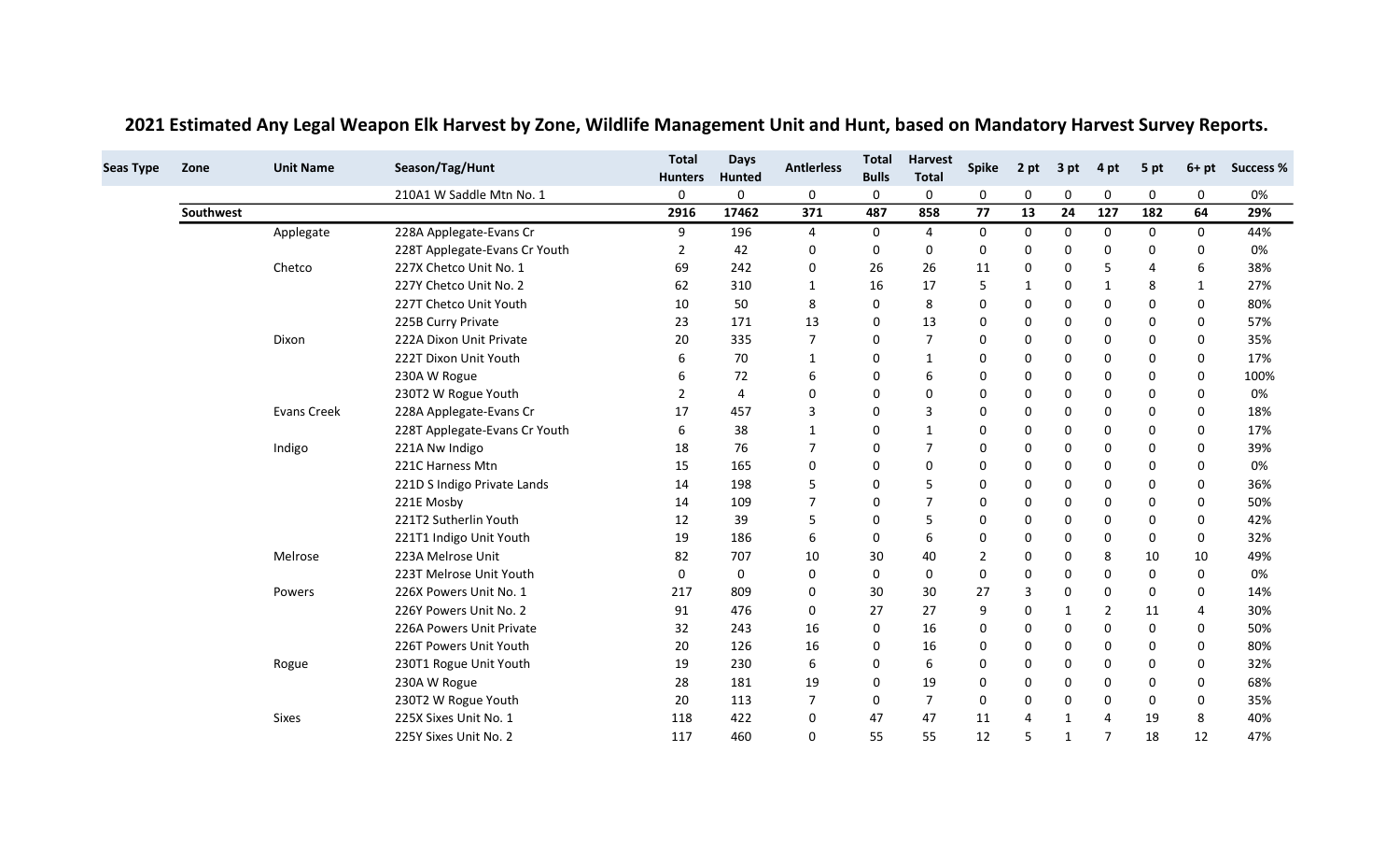| <b>Seas Type</b> | Zone      | <b>Unit Name</b>   | Season/Tag/Hunt               | <b>Total</b><br><b>Hunters</b> | <b>Days</b><br>Hunted | <b>Antierless</b> | <b>Total</b><br><b>Bulls</b> | <b>Harvest</b><br><b>Total</b> | <b>Spike</b> | 2 pt           | 3 pt        | 4 pt                  | 5 pt | $6+pt$       | <b>Success %</b> |
|------------------|-----------|--------------------|-------------------------------|--------------------------------|-----------------------|-------------------|------------------------------|--------------------------------|--------------|----------------|-------------|-----------------------|------|--------------|------------------|
|                  |           |                    | 210A1 W Saddle Mtn No. 1      | 0                              | 0                     | 0                 | 0                            | 0                              | 0            | 0              | $\mathbf 0$ | $\mathbf 0$           | 0    | 0            | 0%               |
|                  | Southwest |                    |                               | 2916                           | 17462                 | 371               | 487                          | 858                            | 77           | 13             | 24          | 127                   | 182  | 64           | 29%              |
|                  |           | Applegate          | 228A Applegate-Evans Cr       | 9                              | 196                   | 4                 | 0                            | 4                              | 0            | 0              | 0           | 0                     | 0    | 0            | 44%              |
|                  |           |                    | 228T Applegate-Evans Cr Youth | 2                              | 42                    | 0                 | 0                            | 0                              | 0            | 0              | 0           | 0                     | 0    | 0            | 0%               |
|                  |           | Chetco             | 227X Chetco Unit No. 1        | 69                             | 242                   | 0                 | 26                           | 26                             | 11           | 0              | 0           | 5                     | 4    | 6            | 38%              |
|                  |           |                    | 227Y Chetco Unit No. 2        | 62                             | 310                   | 1                 | 16                           | 17                             | 5            | 1              | 0           | $\mathbf{1}$          | 8    | $\mathbf{1}$ | 27%              |
|                  |           |                    | 227T Chetco Unit Youth        | 10                             | 50                    | 8                 | 0                            | 8                              | $\Omega$     | 0              | 0           | 0                     | 0    | $\Omega$     | 80%              |
|                  |           |                    | 225B Curry Private            | 23                             | 171                   | 13                | 0                            | 13                             | $\Omega$     | $\mathbf 0$    | 0           | $\Omega$              | 0    | $\Omega$     | 57%              |
|                  |           | Dixon              | 222A Dixon Unit Private       | 20                             | 335                   | $\overline{7}$    | 0                            | $\overline{7}$                 | $\Omega$     | $\mathbf 0$    | 0           | $\mathbf 0$           | 0    | $\Omega$     | 35%              |
|                  |           |                    | 222T Dixon Unit Youth         | 6                              | 70                    | $\mathbf{1}$      | 0                            | $\mathbf{1}$                   | 0            | $\mathbf 0$    | $\mathbf 0$ | $\mathbf 0$           | 0    | 0            | 17%              |
|                  |           |                    | 230A W Rogue                  | 6                              | 72                    | 6                 | 0                            | 6                              | 0            | 0              | 0           | 0                     | 0    | 0            | 100%             |
|                  |           |                    | 230T2 W Rogue Youth           | 2                              | 4                     | 0                 | 0                            | $\mathbf 0$                    | 0            | 0              | 0           | 0                     | 0    | 0            | 0%               |
|                  |           | <b>Evans Creek</b> | 228A Applegate-Evans Cr       | 17                             | 457                   | 3                 | 0                            | 3                              | $\Omega$     | 0              | 0           | 0                     | 0    | 0            | 18%              |
|                  |           |                    | 228T Applegate-Evans Cr Youth | 6                              | 38                    | 1                 | 0                            | 1                              | 0            | 0              | 0           | 0                     | 0    | 0            | 17%              |
|                  |           | Indigo             | 221A Nw Indigo                | 18                             | 76                    | 7                 | 0                            | $\overline{7}$                 | O            | $\mathbf 0$    | 0           | 0                     | 0    | $\Omega$     | 39%              |
|                  |           |                    | 221C Harness Mtn              | 15                             | 165                   | 0                 | 0                            | $\mathbf 0$                    | $\Omega$     | $\mathbf 0$    | 0           | 0                     | 0    | $\Omega$     | 0%               |
|                  |           |                    | 221D S Indigo Private Lands   | 14                             | 198                   | 5                 | $\Omega$                     | 5                              | 0            | $\mathbf 0$    | 0           | $\mathbf 0$           | 0    | 0            | 36%              |
|                  |           |                    | 221E Mosby                    | 14                             | 109                   | 7                 | 0                            | $\overline{7}$                 | 0            | 0              | 0           | 0                     | 0    | $\Omega$     | 50%              |
|                  |           |                    | 221T2 Sutherlin Youth         | 12                             | 39                    | 5                 | 0                            | 5                              | 0            | 0              | 0           | 0                     | 0    | 0            | 42%              |
|                  |           |                    | 221T1 Indigo Unit Youth       | 19                             | 186                   | 6                 | 0                            | 6                              | $\Omega$     | 0              | 0           | 0                     | 0    | 0            | 32%              |
|                  |           | Melrose            | 223A Melrose Unit             | 82                             | 707                   | 10                | 30                           | 40                             |              | 0              | 0           | 8                     | 10   | 10           | 49%              |
|                  |           |                    | 223T Melrose Unit Youth       | 0                              | 0                     | 0                 | 0                            | 0                              | O            | $\mathbf 0$    | 0           | 0                     | 0    | $\mathbf{0}$ | 0%               |
|                  |           | Powers             | 226X Powers Unit No. 1        | 217                            | 809                   | 0                 | 30                           | 30                             | 27           | 3              | 0           | 0                     | 0    | $\mathbf{0}$ | 14%              |
|                  |           |                    | 226Y Powers Unit No. 2        | 91                             | 476                   | 0                 | 27                           | 27                             | 9            | $\mathbf 0$    | 1           | $\overline{2}$        | 11   | 4            | 30%              |
|                  |           |                    | 226A Powers Unit Private      | 32                             | 243                   | 16                | 0                            | 16                             | 0            | 0              | 0           | 0                     | 0    | 0            | 50%              |
|                  |           |                    | 226T Powers Unit Youth        | 20                             | 126                   | 16                | 0                            | 16                             | $\Omega$     | $\mathbf 0$    | 0           | $\Omega$              | 0    | $\Omega$     | 80%              |
|                  |           | Rogue              | 230T1 Rogue Unit Youth        | 19                             | 230                   | 6                 | 0                            | 6                              | $\Omega$     | $\Omega$       | 0           | $\Omega$              | 0    | $\Omega$     | 32%              |
|                  |           |                    | 230A W Rogue                  | 28                             | 181                   | 19                | 0                            | 19                             | 0            | 0              | 0           | 0                     | 0    | 0            | 68%              |
|                  |           |                    | 230T2 W Rogue Youth           | 20                             | 113                   | 7                 | 0                            | $\overline{7}$                 | 0            | 0              | 0           | 0                     | 0    | $\mathbf{0}$ | 35%              |
|                  |           | <b>Sixes</b>       | 225X Sixes Unit No. 1         | 118                            | 422                   | 0                 | 47                           | 47                             | 11           | $\overline{4}$ | 1           | $\boldsymbol{\Delta}$ | 19   | 8            | 40%              |
|                  |           |                    | 225Y Sixes Unit No. 2         | 117                            | 460                   | 0                 | 55                           | 55                             | 12           | 5              | 1           | $\overline{7}$        | 18   | 12           | 47%              |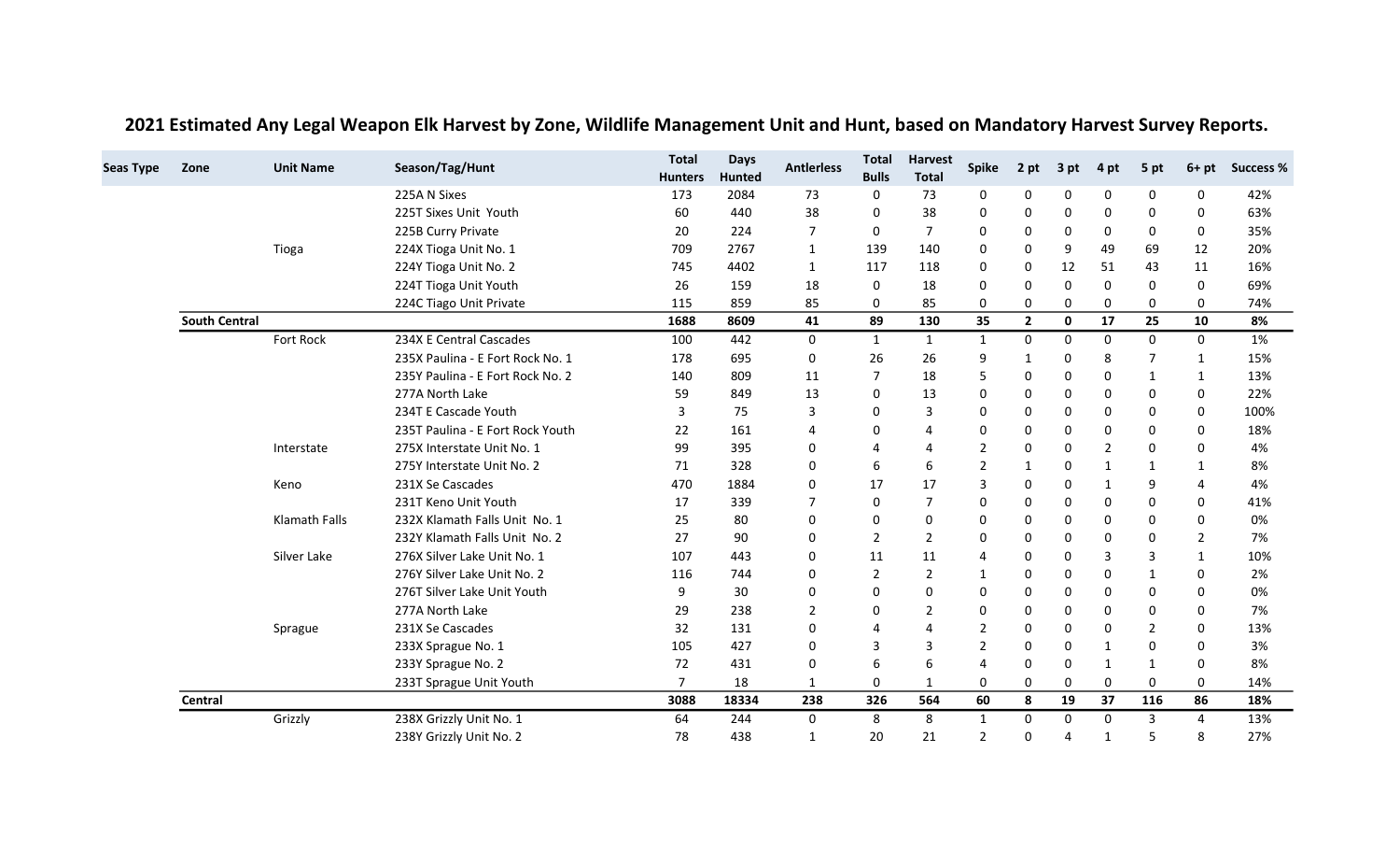| <b>Seas Type</b> | Zone                 | <b>Unit Name</b> | Season/Tag/Hunt                  | <b>Total</b><br><b>Hunters</b> | <b>Days</b><br><b>Hunted</b> | <b>Antierless</b> | <b>Total</b><br><b>Bulls</b> | <b>Harvest</b><br><b>Total</b> | <b>Spike</b>   | 2 pt           | 3 pt           | 4 pt          | 5 pt           | $6+pt$       | <b>Success %</b> |
|------------------|----------------------|------------------|----------------------------------|--------------------------------|------------------------------|-------------------|------------------------------|--------------------------------|----------------|----------------|----------------|---------------|----------------|--------------|------------------|
|                  |                      |                  | 225A N Sixes                     | 173                            | 2084                         | 73                | 0                            | 73                             | 0              | 0              | 0              | 0             | 0              | 0            | 42%              |
|                  |                      |                  | 225T Sixes Unit Youth            | 60                             | 440                          | 38                | 0                            | 38                             | 0              | $\Omega$       | $\Omega$       | $\Omega$      | $\Omega$       | $\Omega$     | 63%              |
|                  |                      |                  | 225B Curry Private               | 20                             | 224                          | $\overline{7}$    | 0                            | $\overline{7}$                 | 0              | $\mathbf 0$    | 0              | 0             | $\mathbf 0$    | 0            | 35%              |
|                  |                      | Tioga            | 224X Tioga Unit No. 1            | 709                            | 2767                         | $\mathbf{1}$      | 139                          | 140                            | 0              | $\mathbf 0$    | 9              | 49            | 69             | 12           | 20%              |
|                  |                      |                  | 224Y Tioga Unit No. 2            | 745                            | 4402                         | 1                 | 117                          | 118                            | 0              | $\Omega$       | 12             | 51            | 43             | 11           | 16%              |
|                  |                      |                  | 224T Tioga Unit Youth            | 26                             | 159                          | 18                | $\mathbf 0$                  | 18                             | 0              | $\Omega$       | $\Omega$       | $\Omega$      | 0              | $\mathbf{0}$ | 69%              |
|                  |                      |                  | 224C Tiago Unit Private          | 115                            | 859                          | 85                | 0                            | 85                             | 0              | 0              | 0              | 0             | 0              | 0            | 74%              |
|                  | <b>South Central</b> |                  |                                  | 1688                           | 8609                         | 41                | 89                           | 130                            | 35             | $\overline{2}$ | $\mathbf 0$    | 17            | 25             | 10           | 8%               |
|                  |                      | Fort Rock        | 234X E Central Cascades          | 100                            | 442                          | 0                 | $\mathbf{1}$                 | $\mathbf{1}$                   | $\mathbf{1}$   | $\Omega$       | $\Omega$       | $\Omega$      | $\mathbf{0}$   | $\mathbf{0}$ | 1%               |
|                  |                      |                  | 235X Paulina - E Fort Rock No. 1 | 178                            | 695                          | 0                 | 26                           | 26                             | 9              | 1              | 0              | 8             | $\overline{7}$ | 1            | 15%              |
|                  |                      |                  | 235Y Paulina - E Fort Rock No. 2 | 140                            | 809                          | 11                | $\overline{7}$               | 18                             | 5              | $\mathbf 0$    | 0              | 0             | 1              | 1            | 13%              |
|                  |                      |                  | 277A North Lake                  | 59                             | 849                          | 13                | 0                            | 13                             | 0              | $\Omega$       | $\Omega$       | 0             | 0              | $\Omega$     | 22%              |
|                  |                      |                  | 234T E Cascade Youth             | 3                              | 75                           | 3                 | $\mathbf 0$                  | $\overline{3}$                 | O              | $\Omega$       | $\Omega$       | $\Omega$      | 0              | 0            | 100%             |
|                  |                      |                  | 235T Paulina - E Fort Rock Youth | 22                             | 161                          | 4                 | 0                            |                                | 0              | 0              | 0              | $\Omega$      | $\mathbf 0$    | 0            | 18%              |
|                  |                      | Interstate       | 275X Interstate Unit No. 1       | 99                             | 395                          | 0                 | 4                            | 4                              | $\mathfrak{p}$ | $\Omega$       | $\Omega$       | $\mathcal{P}$ | $\Omega$       | 0            | 4%               |
|                  |                      |                  | 275Y Interstate Unit No. 2       | 71                             | 328                          | 0                 | 6                            | 6                              | $\mathfrak{p}$ | $\mathbf 1$    | 0              | $\mathbf{1}$  | $\mathbf{1}$   | 1            | 8%               |
|                  |                      | Keno             | 231X Se Cascades                 | 470                            | 1884                         | 0                 | 17                           | 17                             | 3              | $\Omega$       | $\Omega$       | $\mathbf 1$   | 9              | 4            | 4%               |
|                  |                      |                  | 231T Keno Unit Youth             | 17                             | 339                          | 7                 | 0                            | $\overline{7}$                 | 0              | $\mathbf 0$    | 0              | $\Omega$      | $\mathbf 0$    | 0            | 41%              |
|                  |                      | Klamath Falls    | 232X Klamath Falls Unit No. 1    | 25                             | 80                           | 0                 | 0                            | $\mathbf 0$                    | 0              | $\Omega$       | $\Omega$       | $\Omega$      | $\mathbf 0$    | $\Omega$     | 0%               |
|                  |                      |                  | 232Y Klamath Falls Unit No. 2    | 27                             | 90                           | 0                 | 2                            | 2                              | 0              | 0              | 0              | 0             | $\mathbf 0$    | 2            | 7%               |
|                  |                      | Silver Lake      | 276X Silver Lake Unit No. 1      | 107                            | 443                          | 0                 | 11                           | 11                             | 4              | $\mathbf 0$    | $\Omega$       | 3             | 3              | $\mathbf{1}$ | 10%              |
|                  |                      |                  | 276Y Silver Lake Unit No. 2      | 116                            | 744                          | 0                 | $\overline{2}$               | $\overline{2}$                 | $\mathbf{1}$   | $\Omega$       | $\Omega$       | $\Omega$      | 1              | 0            | 2%               |
|                  |                      |                  | 276T Silver Lake Unit Youth      | 9                              | 30                           | 0                 | 0                            | $\mathbf 0$                    | 0              | 0              | $\Omega$       | $\Omega$      | 0              | 0            | 0%               |
|                  |                      |                  | 277A North Lake                  | 29                             | 238                          | 2                 | 0                            | $\overline{2}$                 | $\Omega$       | $\Omega$       | $\Omega$       | $\Omega$      | $\Omega$       | 0            | 7%               |
|                  |                      | Sprague          | 231X Se Cascades                 | 32                             | 131                          | 0                 | $\overline{4}$               |                                | $\overline{2}$ | $\Omega$       | 0              | $\Omega$      | $\overline{2}$ | 0            | 13%              |
|                  |                      |                  | 233X Sprague No. 1               | 105                            | 427                          | 0                 | 3                            | $\overline{3}$                 | $\overline{2}$ | $\Omega$       | $\Omega$       | $\mathbf 1$   | 0              | 0            | 3%               |
|                  |                      |                  | 233Y Sprague No. 2               | 72                             | 431                          | 0                 | 6                            | 6                              | Δ              | $\mathbf 0$    | 0              | 1             | 1              | 0            | 8%               |
|                  |                      |                  | 233T Sprague Unit Youth          | $\overline{7}$                 | 18                           | $\mathbf{1}$      | 0                            | $\mathbf{1}$                   | 0              | 0              | $\mathbf 0$    | $\Omega$      | $\mathbf{0}$   | $\Omega$     | 14%              |
|                  | Central              |                  |                                  | 3088                           | 18334                        | 238               | 326                          | 564                            | 60             | 8              | 19             | 37            | 116            | 86           | 18%              |
|                  |                      | Grizzly          | 238X Grizzly Unit No. 1          | 64                             | 244                          | 0                 | 8                            | 8                              | 1              | 0              | 0              | 0             | 3              | 4            | 13%              |
|                  |                      |                  | 238Y Grizzly Unit No. 2          | 78                             | 438                          | $\mathbf{1}$      | 20                           | 21                             | $\overline{2}$ | 0              | $\overline{4}$ | $\mathbf{1}$  | 5              | 8            | 27%              |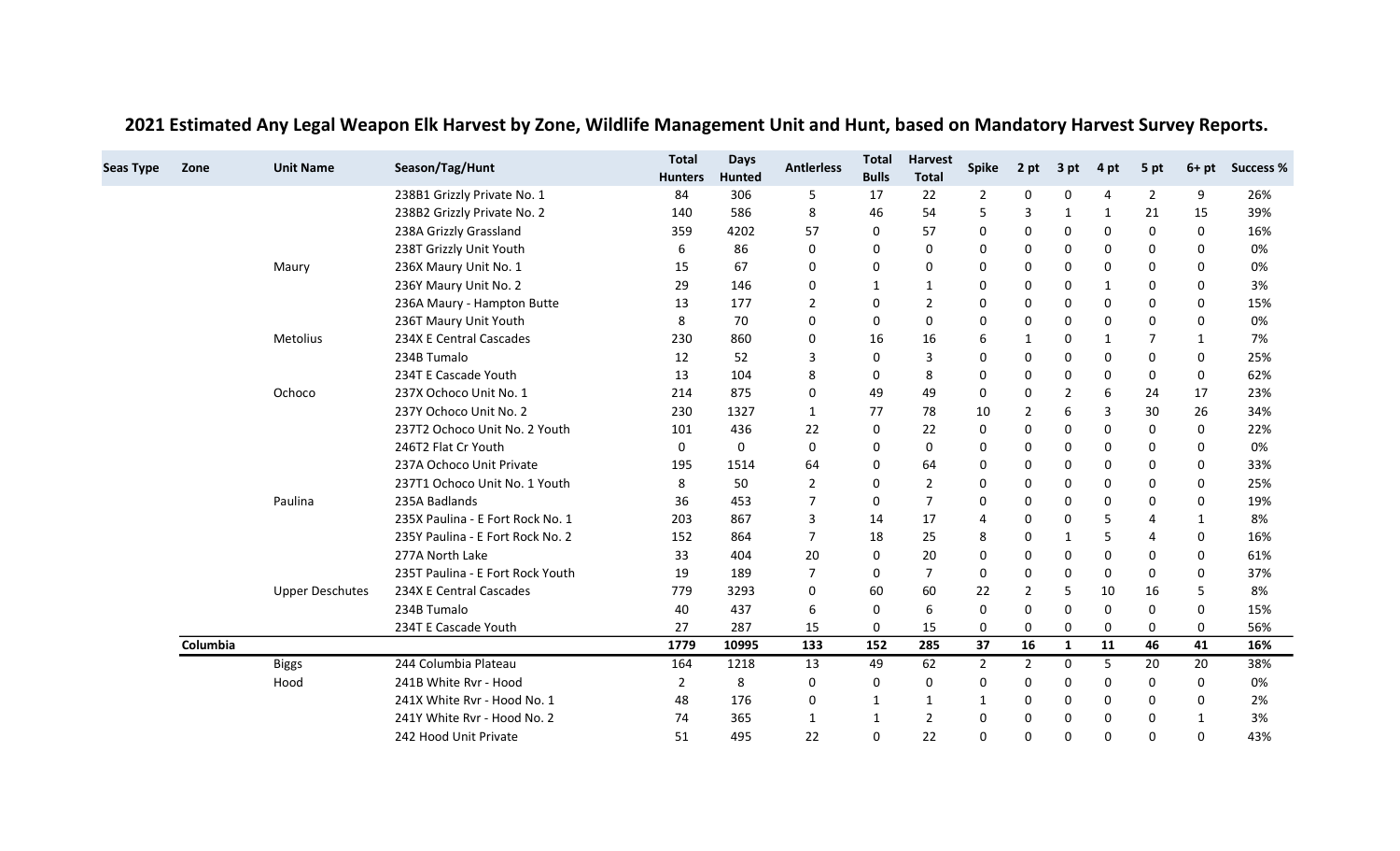| <b>Seas Type</b> | Zone     | <b>Unit Name</b>       | Season/Tag/Hunt                  | <b>Total</b>   | <b>Days</b>   | <b>Antlerless</b> | <b>Total</b> | <b>Harvest</b> | <b>Spike</b>   | 2 pt           | 3 pt         | 4 pt         | 5 pt           | $6+pt$ | <b>Success %</b> |
|------------------|----------|------------------------|----------------------------------|----------------|---------------|-------------------|--------------|----------------|----------------|----------------|--------------|--------------|----------------|--------|------------------|
|                  |          |                        |                                  | <b>Hunters</b> | <b>Hunted</b> |                   | <b>Bulls</b> | <b>Total</b>   |                |                |              |              |                |        |                  |
|                  |          |                        | 238B1 Grizzly Private No. 1      | 84             | 306           | -5                | 17           | 22             | 2              | 0              | 0            | 4            | $\overline{2}$ | 9      | 26%              |
|                  |          |                        | 238B2 Grizzly Private No. 2      | 140            | 586           | 8                 | 46           | 54             |                | 3              | $\mathbf{1}$ | 1            | 21             | 15     | 39%              |
|                  |          |                        | 238A Grizzly Grassland           | 359            | 4202          | 57                | 0            | 57             |                | 0              | 0            | 0            | 0              | 0      | 16%              |
|                  |          |                        | 238T Grizzly Unit Youth          | 6              | 86            | $\Omega$          | $\Omega$     | 0              | <sup>0</sup>   | 0              | 0            | $\Omega$     | 0              | 0      | 0%               |
|                  |          | Maury                  | 236X Maury Unit No. 1            | 15             | 67            | 0                 | 0            | 0              | $\Omega$       | 0              | 0            | 0            | 0              | 0      | 0%               |
|                  |          |                        | 236Y Maury Unit No. 2            | 29             | 146           | 0                 | 1            | 1              | 0              | 0              | 0            | 1            | 0              | 0      | 3%               |
|                  |          |                        | 236A Maury - Hampton Butte       | 13             | 177           | 2                 | 0            | $\overline{2}$ | <sup>0</sup>   | 0              | 0            | 0            | 0              | 0      | 15%              |
|                  |          |                        | 236T Maury Unit Youth            | 8              | 70            | 0                 | 0            | 0              | <sup>0</sup>   | 0              | 0            | 0            | 0              | 0      | 0%               |
|                  |          | Metolius               | 234X E Central Cascades          | 230            | 860           | 0                 | 16           | 16             | 6              | 1              | 0            | 1            | 7              | 1      | 7%               |
|                  |          |                        | 234B Tumalo                      | 12             | 52            | 3                 | 0            | 3              | $\Omega$       | 0              | 0            | 0            | 0              | 0      | 25%              |
|                  |          |                        | 234T E Cascade Youth             | 13             | 104           | 8                 | 0            | 8              | 0              | 0              | 0            | 0            | 0              | 0      | 62%              |
|                  |          | Ochoco                 | 237X Ochoco Unit No. 1           | 214            | 875           | 0                 | 49           | 49             | $\Omega$       | 0              | 2            | 6            | 24             | 17     | 23%              |
|                  |          |                        | 237Y Ochoco Unit No. 2           | 230            | 1327          | 1                 | 77           | 78             | 10             | $\overline{2}$ | 6            | 3            | 30             | 26     | 34%              |
|                  |          |                        | 237T2 Ochoco Unit No. 2 Youth    | 101            | 436           | 22                | 0            | 22             | 0              | 0              | 0            | 0            | 0              | 0      | 22%              |
|                  |          |                        | 246T2 Flat Cr Youth              | 0              | 0             | 0                 | 0            | 0              | $\Omega$       | 0              | 0            | 0            | 0              | 0      | 0%               |
|                  |          |                        | 237A Ochoco Unit Private         | 195            | 1514          | 64                | 0            | 64             | 0              | 0              | 0            | $\mathbf{0}$ | 0              | 0      | 33%              |
|                  |          |                        | 237T1 Ochoco Unit No. 1 Youth    | 8              | 50            | $\overline{2}$    | 0            | $\overline{2}$ | $\Omega$       | 0              | 0            | 0            | 0              | 0      | 25%              |
|                  |          | Paulina                | 235A Badlands                    | 36             | 453           | $\overline{7}$    | 0            | $\overline{7}$ | 0              | 0              | 0            | 0            | 0              | 0      | 19%              |
|                  |          |                        | 235X Paulina - E Fort Rock No. 1 | 203            | 867           | 3                 | 14           | 17             |                | 0              | 0            | 5            | 4              | 1      | 8%               |
|                  |          |                        | 235Y Paulina - E Fort Rock No. 2 | 152            | 864           | 7                 | 18           | 25             | 8              | 0              | 1            | 5            | 4              | 0      | 16%              |
|                  |          |                        | 277A North Lake                  | 33             | 404           | 20                | 0            | 20             | 0              | 0              | 0            | 0            | 0              | 0      | 61%              |
|                  |          |                        | 235T Paulina - E Fort Rock Youth | 19             | 189           | 7                 | 0            | 7              | 0              | 0              | 0            | 0            | 0              | 0      | 37%              |
|                  |          | <b>Upper Deschutes</b> | 234X E Central Cascades          | 779            | 3293          | 0                 | 60           | 60             | 22             | 2              | 5            | 10           | 16             | 5      | 8%               |
|                  |          |                        | 234B Tumalo                      | 40             | 437           | 6                 | 0            | 6              | 0              | 0              | 0            | 0            | 0              | 0      | 15%              |
|                  |          |                        | 234T E Cascade Youth             | 27             | 287           | 15                | 0            | 15             | 0              | 0              | 0            | 0            | 0              | 0      | 56%              |
|                  | Columbia |                        |                                  | 1779           | 10995         | 133               | 152          | 285            | 37             | 16             | 1            | 11           | 46             | 41     | 16%              |
|                  |          | <b>Biggs</b>           | 244 Columbia Plateau             | 164            | 1218          | 13                | 49           | 62             | $\overline{2}$ | $\overline{2}$ | 0            | 5            | 20             | 20     | 38%              |
|                  |          | Hood                   | 241B White Rvr - Hood            | 2              | 8             | 0                 | $\mathbf 0$  | 0              | $\Omega$       | 0              | 0            | 0            | 0              | 0      | 0%               |
|                  |          |                        | 241X White Rvr - Hood No. 1      | 48             | 176           | 0                 | 1            | 1              | 1              | 0              | 0            | 0            | 0              | 0      | 2%               |
|                  |          |                        | 241Y White Rvr - Hood No. 2      | 74             | 365           | 1                 | 1            | 2              | $\Omega$       | 0              | 0            | 0            | 0              | 1      | 3%               |
|                  |          |                        | 242 Hood Unit Private            | 51             | 495           | 22                | 0            | 22             | $\Omega$       | 0              | 0            | $\Omega$     | $\Omega$       | 0      | 43%              |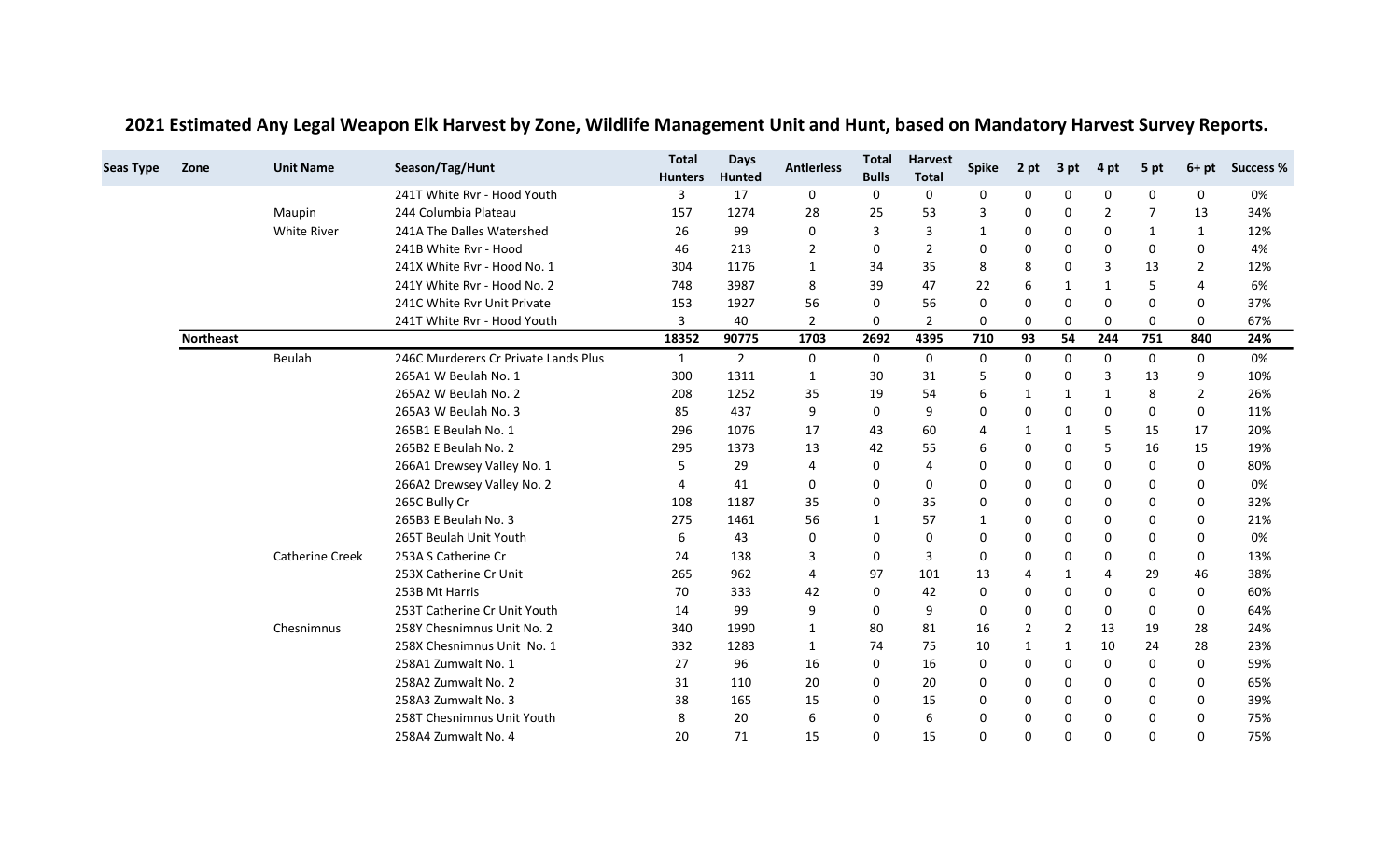| <b>Seas Type</b> | Zone             | <b>Unit Name</b>       | Season/Tag/Hunt                      | <b>Total</b><br><b>Hunters</b> | <b>Days</b><br><b>Hunted</b> | <b>Antierless</b> | <b>Total</b><br><b>Bulls</b> | <b>Harvest</b><br><b>Total</b> | <b>Spike</b> | 2 pt           | 3 pt         | 4 pt         | 5 pt           | $6+pt$        | <b>Success %</b> |
|------------------|------------------|------------------------|--------------------------------------|--------------------------------|------------------------------|-------------------|------------------------------|--------------------------------|--------------|----------------|--------------|--------------|----------------|---------------|------------------|
|                  |                  |                        | 241T White Ryr - Hood Youth          | 3                              | 17                           | 0                 | 0                            | 0                              | 0            | 0              | 0            | 0            | 0              | 0             | 0%               |
|                  |                  | Maupin                 | 244 Columbia Plateau                 | 157                            | 1274                         | 28                | 25                           | 53                             | 3            | 0              | 0            | 2            | $\overline{7}$ | 13            | 34%              |
|                  |                  | White River            | 241A The Dalles Watershed            | 26                             | 99                           | 0                 | 3                            | 3                              | 1            | 0              | 0            | 0            | 1              | 1             | 12%              |
|                  |                  |                        | 241B White Ryr - Hood                | 46                             | 213                          | 2                 | 0                            | $\overline{2}$                 | 0            | $\Omega$       | $\Omega$     | $\Omega$     | 0              | 0             | 4%               |
|                  |                  |                        | 241X White Rvr - Hood No. 1          | 304                            | 1176                         | 1                 | 34                           | 35                             | 8            | 8              | 0            | 3            | 13             | $\mathcal{P}$ | 12%              |
|                  |                  |                        | 241Y White Ryr - Hood No. 2          | 748                            | 3987                         | 8                 | 39                           | 47                             | 22           | 6              | $\mathbf{1}$ | 1            | 5              | 4             | 6%               |
|                  |                  |                        | 241C White Rvr Unit Private          | 153                            | 1927                         | 56                | 0                            | 56                             | 0            | 0              | 0            | 0            | 0              | 0             | 37%              |
|                  |                  |                        | 241T White Rvr - Hood Youth          | 3                              | 40                           | 2                 | 0                            | $\overline{2}$                 | 0            | 0              | 0            | 0            | 0              | 0             | 67%              |
|                  | <b>Northeast</b> |                        |                                      | 18352                          | 90775                        | 1703              | 2692                         | 4395                           | 710          | 93             | 54           | 244          | 751            | 840           | 24%              |
|                  |                  | Beulah                 | 246C Murderers Cr Private Lands Plus | $\mathbf{1}$                   | $\overline{2}$               | $\mathbf 0$       | 0                            | 0                              | $\mathbf 0$  | $\mathbf 0$    | 0            | 0            | $\mathbf 0$    | 0             | 0%               |
|                  |                  |                        | 265A1 W Beulah No. 1                 | 300                            | 1311                         | 1                 | 30                           | 31                             | 5            | 0              | 0            | 3            | 13             | 9             | 10%              |
|                  |                  |                        | 265A2 W Beulah No. 2                 | 208                            | 1252                         | 35                | 19                           | 54                             | 6            | 1              | -1           | 1            | 8              | 2             | 26%              |
|                  |                  |                        | 265A3 W Beulah No. 3                 | 85                             | 437                          | 9                 | 0                            | 9                              | 0            | 0              | 0            | 0            | 0              | 0             | 11%              |
|                  |                  |                        | 265B1 E Beulah No. 1                 | 296                            | 1076                         | 17                | 43                           | 60                             |              | 1              | -1           | 5            | 15             | 17            | 20%              |
|                  |                  |                        | 265B2 E Beulah No. 2                 | 295                            | 1373                         | 13                | 42                           | 55                             | 6            | $\mathbf 0$    | 0            | 5            | 16             | 15            | 19%              |
|                  |                  |                        | 266A1 Drewsey Valley No. 1           | 5                              | 29                           | 4                 | 0                            | 4                              | <sup>0</sup> | $\Omega$       | 0            | $\Omega$     | 0              | 0             | 80%              |
|                  |                  |                        | 266A2 Drewsey Valley No. 2           | 4                              | 41                           | 0                 | $\Omega$                     | $\mathbf 0$                    | 0            | $\mathbf 0$    | 0            | $\mathbf 0$  | 0              | 0             | 0%               |
|                  |                  |                        | 265C Bully Cr                        | 108                            | 1187                         | 35                | 0                            | 35                             | 0            | 0              | 0            | 0            | 0              | 0             | 32%              |
|                  |                  |                        | 265B3 E Beulah No. 3                 | 275                            | 1461                         | 56                | 1                            | 57                             | 1            | 0              | 0            | 0            | 0              | 0             | 21%              |
|                  |                  |                        | 265T Beulah Unit Youth               | 6                              | 43                           | 0                 | 0                            | 0                              | 0            | $\Omega$       | 0            | $\Omega$     | 0              | 0             | 0%               |
|                  |                  | <b>Catherine Creek</b> | 253A S Catherine Cr                  | 24                             | 138                          | 3                 | 0                            | 3                              | 0            | 0              | 0            | 0            | 0              | 0             | 13%              |
|                  |                  |                        | 253X Catherine Cr Unit               | 265                            | 962                          | 4                 | 97                           | 101                            | 13           | $\overline{4}$ | $\mathbf{1}$ | 4            | 29             | 46            | 38%              |
|                  |                  |                        | 253B Mt Harris                       | 70                             | 333                          | 42                | 0                            | 42                             | 0            | $\mathbf 0$    | 0            | 0            | 0              | 0             | 60%              |
|                  |                  |                        | 253T Catherine Cr Unit Youth         | 14                             | 99                           | 9                 | 0                            | 9                              | 0            | $\mathbf 0$    | 0            | 0            | 0              | 0             | 64%              |
|                  |                  | Chesnimnus             | 258Y Chesnimnus Unit No. 2           | 340                            | 1990                         | 1                 | 80                           | 81                             | 16           | $\overline{2}$ | 2            | 13           | 19             | 28            | 24%              |
|                  |                  |                        | 258X Chesnimnus Unit No. 1           | 332                            | 1283                         | 1                 | 74                           | 75                             | 10           | $\mathbf{1}$   | -1           | 10           | 24             | 28            | 23%              |
|                  |                  |                        | 258A1 Zumwalt No. 1                  | 27                             | 96                           | 16                | 0                            | 16                             | $\mathbf{0}$ | $\mathbf 0$    | 0            | $\mathbf{0}$ | 0              | 0             | 59%              |
|                  |                  |                        | 258A2 Zumwalt No. 2                  | 31                             | 110                          | 20                | 0                            | 20                             | 0            | 0              | 0            | 0            | 0              | 0             | 65%              |
|                  |                  |                        | 258A3 Zumwalt No. 3                  | 38                             | 165                          | 15                | 0                            | 15                             | 0            | 0              | 0            | 0            | 0              | 0             | 39%              |
|                  |                  |                        | 258T Chesnimnus Unit Youth           | 8                              | 20                           | 6                 | 0                            | 6                              | 0            | 0              | 0            | 0            | 0              | 0             | 75%              |
|                  |                  |                        | 258A4 Zumwalt No. 4                  | 20                             | 71                           | 15                | $\Omega$                     | 15                             | $\Omega$     | $\Omega$       | $\Omega$     | $\Omega$     | 0              | 0             | 75%              |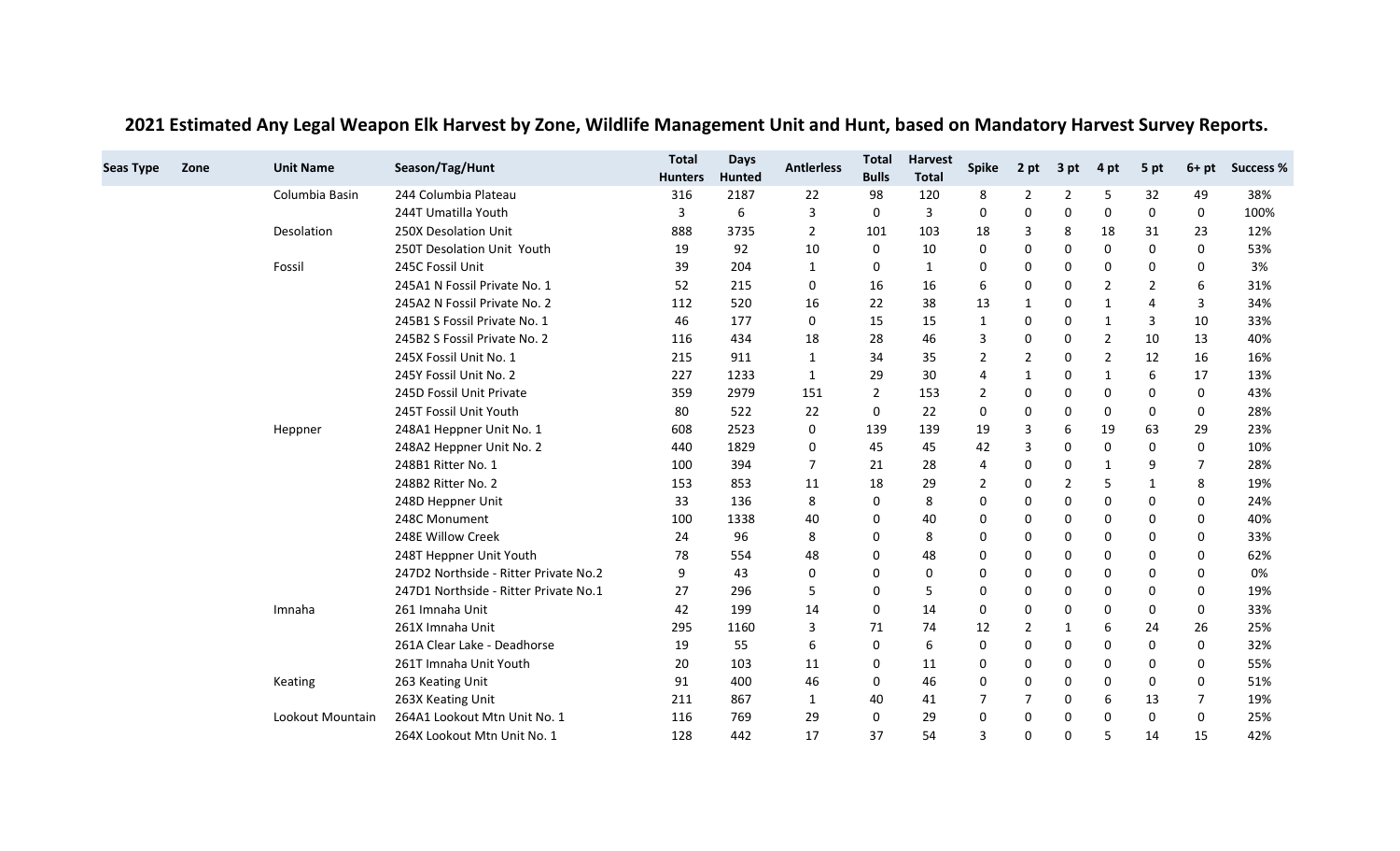| <b>Seas Type</b> | Zone | <b>Unit Name</b> | Season/Tag/Hunt                       | <b>Total</b>   | <b>Days</b>   | <b>Antierless</b> | <b>Total</b> | <b>Harvest</b> |              |                |                |                |      |                | <b>Success %</b> |
|------------------|------|------------------|---------------------------------------|----------------|---------------|-------------------|--------------|----------------|--------------|----------------|----------------|----------------|------|----------------|------------------|
|                  |      |                  |                                       | <b>Hunters</b> | <b>Hunted</b> |                   | <b>Bulls</b> | <b>Total</b>   | <b>Spike</b> | 2 pt           | 3 pt           | 4 pt           | 5 pt | $6+pt$         |                  |
|                  |      | Columbia Basin   | 244 Columbia Plateau                  | 316            | 2187          | 22                | 98           | 120            | 8            | $\overline{2}$ | 2              | 5              | 32   | 49             | 38%              |
|                  |      |                  | 244T Umatilla Youth                   | 3              | 6             | 3                 | $\mathbf 0$  | 3              | $\Omega$     | $\mathbf 0$    | $\Omega$       | $\Omega$       | 0    | $\Omega$       | 100%             |
|                  |      | Desolation       | 250X Desolation Unit                  | 888            | 3735          | 2                 | 101          | 103            | 18           | 3              | 8              | 18             | 31   | 23             | 12%              |
|                  |      |                  | 250T Desolation Unit Youth            | 19             | 92            | 10                | 0            | 10             | 0            | 0              | 0              | 0              | 0    | 0              | 53%              |
|                  |      | Fossil           | 245C Fossil Unit                      | 39             | 204           | 1                 | 0            | 1              | 0            | 0              | 0              | 0              | 0    | 0              | 3%               |
|                  |      |                  | 245A1 N Fossil Private No. 1          | 52             | 215           | 0                 | 16           | 16             | 6            | 0              | 0              | 2              | 2    | 6              | 31%              |
|                  |      |                  | 245A2 N Fossil Private No. 2          | 112            | 520           | 16                | 22           | 38             | 13           | -1             | 0              | -1             | 4    | 3              | 34%              |
|                  |      |                  | 245B1 S Fossil Private No. 1          | 46             | 177           | 0                 | 15           | 15             |              | 0              | 0              | -1             | 3    | 10             | 33%              |
|                  |      |                  | 245B2 S Fossil Private No. 2          | 116            | 434           | 18                | 28           | 46             | 3            | $\Omega$       | 0              | $\overline{2}$ | 10   | 13             | 40%              |
|                  |      |                  | 245X Fossil Unit No. 1                | 215            | 911           | 1                 | 34           | 35             | 2            | $\overline{2}$ | 0              | $\overline{2}$ | 12   | 16             | 16%              |
|                  |      |                  | 245Y Fossil Unit No. 2                | 227            | 1233          | 1                 | 29           | 30             | 4            | 1              | 0              | 1              | 6    | 17             | 13%              |
|                  |      |                  | 245D Fossil Unit Private              | 359            | 2979          | 151               | 2            | 153            | 2            | 0              | 0              | 0              | 0    | 0              | 43%              |
|                  |      |                  | 245T Fossil Unit Youth                | 80             | 522           | 22                | $\mathbf 0$  | 22             | $\Omega$     | 0              | 0              | $\Omega$       | 0    | 0              | 28%              |
|                  |      | Heppner          | 248A1 Heppner Unit No. 1              | 608            | 2523          | 0                 | 139          | 139            | 19           | 3              | 6              | 19             | 63   | 29             | 23%              |
|                  |      |                  | 248A2 Heppner Unit No. 2              | 440            | 1829          | 0                 | 45           | 45             | 42           | 3              | 0              | 0              | 0    | 0              | 10%              |
|                  |      |                  | 248B1 Ritter No. 1                    | 100            | 394           | 7                 | 21           | 28             |              | 0              | 0              | -1             | 9    | $\overline{7}$ | 28%              |
|                  |      |                  | 248B2 Ritter No. 2                    | 153            | 853           | 11                | 18           | 29             | 2            | 0              | $\overline{2}$ | 5              | 1    | 8              | 19%              |
|                  |      |                  | 248D Heppner Unit                     | 33             | 136           | 8                 | 0            | 8              | 0            | 0              | 0              | 0              | 0    | 0              | 24%              |
|                  |      |                  | 248C Monument                         | 100            | 1338          | 40                | 0            | 40             | 0            | 0              | 0              | 0              | 0    | 0              | 40%              |
|                  |      |                  | 248E Willow Creek                     | 24             | 96            | 8                 | 0            | 8              | $\Omega$     | 0              | 0              | $\Omega$       | 0    | 0              | 33%              |
|                  |      |                  | 248T Heppner Unit Youth               | 78             | 554           | 48                | 0            | 48             | 0            | 0              | 0              | 0              | 0    | 0              | 62%              |
|                  |      |                  | 247D2 Northside - Ritter Private No.2 | 9              | 43            | 0                 | 0            | 0              | O            | 0              | 0              | 0              | 0    | 0              | 0%               |
|                  |      |                  | 247D1 Northside - Ritter Private No.1 | 27             | 296           | 5                 | 0            | 5              | O            | 0              | 0              | 0              | 0    | 0              | 19%              |
|                  |      | Imnaha           | 261 Imnaha Unit                       | 42             | 199           | 14                | 0            | 14             | 0            | $\mathbf 0$    | 0              | 0              | 0    | 0              | 33%              |
|                  |      |                  | 261X Imnaha Unit                      | 295            | 1160          | 3                 | 71           | 74             | 12           | $\overline{2}$ | -1             | 6              | 24   | 26             | 25%              |
|                  |      |                  | 261A Clear Lake - Deadhorse           | 19             | 55            | 6                 | 0            | 6              | 0            | 0              | 0              | 0              | 0    | $\Omega$       | 32%              |
|                  |      |                  | 261T Imnaha Unit Youth                | 20             | 103           | 11                | 0            | 11             | 0            | 0              | 0              | 0              | 0    | 0              | 55%              |
|                  |      | Keating          | 263 Keating Unit                      | 91             | 400           | 46                | 0            | 46             | 0            | 0              | 0              | 0              | 0    | 0              | 51%              |
|                  |      |                  | 263X Keating Unit                     | 211            | 867           | 1                 | 40           | 41             |              | 7              | 0              | 6              | 13   | 7              | 19%              |
|                  |      | Lookout Mountain | 264A1 Lookout Mtn Unit No. 1          | 116            | 769           | 29                | 0            | 29             | O            | 0              | 0              | 0              | 0    | 0              | 25%              |
|                  |      |                  | 264X Lookout Mtn Unit No. 1           | 128            | 442           | 17                | 37           | 54             | 3            | 0              | 0              | 5              | 14   | 15             | 42%              |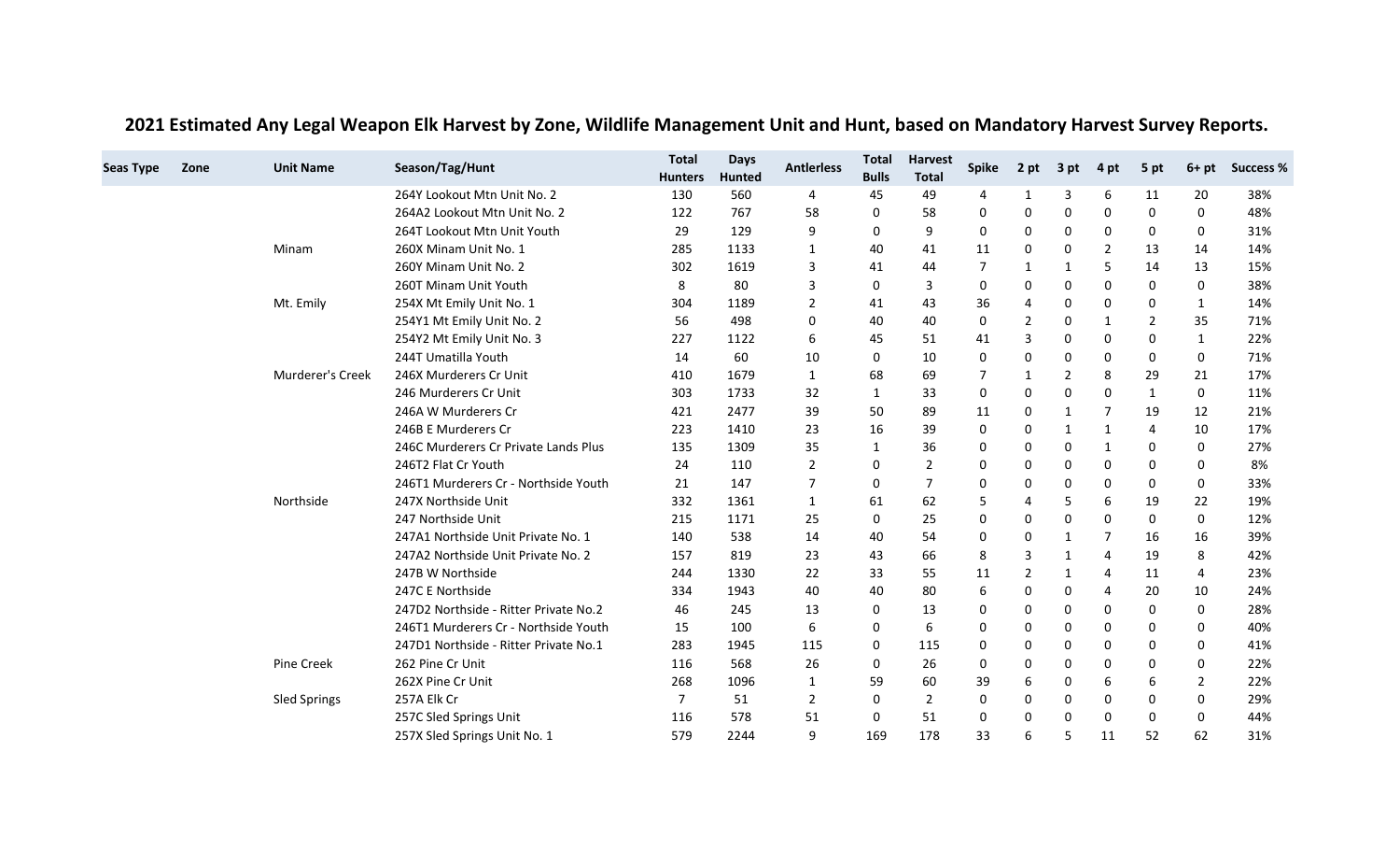| <b>Seas Type</b> | Zone | <b>Unit Name</b>    | Season/Tag/Hunt                       | <b>Total</b>   | <b>Days</b> | <b>Antierless</b> | <b>Total</b> | <b>Harvest</b> | <b>Spike</b> | 2 pt           | 3 pt     | 4 pt           | 5 pt           | $6+pt$       | <b>Success %</b> |
|------------------|------|---------------------|---------------------------------------|----------------|-------------|-------------------|--------------|----------------|--------------|----------------|----------|----------------|----------------|--------------|------------------|
|                  |      |                     |                                       | <b>Hunters</b> | Hunted      |                   | <b>Bulls</b> | <b>Total</b>   |              |                |          |                |                |              |                  |
|                  |      |                     | 264Y Lookout Mtn Unit No. 2           | 130            | 560         | $\overline{4}$    | 45           | 49             | 4            | 1              | 3        | 6              | 11             | 20           | 38%              |
|                  |      |                     | 264A2 Lookout Mtn Unit No. 2          | 122            | 767         | 58                | 0            | 58             | 0            | 0              | 0        | 0              | 0              | 0            | 48%              |
|                  |      |                     | 264T Lookout Mtn Unit Youth           | 29             | 129         | 9                 | 0            | 9              | 0            | 0              | 0        | 0              | 0              | 0            | 31%              |
|                  |      | Minam               | 260X Minam Unit No. 1                 | 285            | 1133        | 1                 | 40           | 41             | 11           | 0              | 0        | $\overline{2}$ | 13             | 14           | 14%              |
|                  |      |                     | 260Y Minam Unit No. 2                 | 302            | 1619        | 3                 | 41           | 44             | 7            | -1             | 1        | 5              | 14             | 13           | 15%              |
|                  |      |                     | 260T Minam Unit Youth                 | 8              | 80          | 3                 | $\mathbf 0$  | 3              | 0            | 0              | 0        | $\Omega$       | 0              | 0            | 38%              |
|                  |      | Mt. Emily           | 254X Mt Emily Unit No. 1              | 304            | 1189        | 2                 | 41           | 43             | 36           | 4              | 0        | 0              | 0              | 1            | 14%              |
|                  |      |                     | 254Y1 Mt Emily Unit No. 2             | 56             | 498         | $\Omega$          | 40           | 40             | $\Omega$     | $\overline{2}$ | $\Omega$ | 1              | $\overline{2}$ | 35           | 71%              |
|                  |      |                     | 254Y2 Mt Emily Unit No. 3             | 227            | 1122        | 6                 | 45           | 51             | 41           | $\overline{3}$ | 0        | $\Omega$       | 0              | $\mathbf{1}$ | 22%              |
|                  |      |                     | 244T Umatilla Youth                   | 14             | 60          | 10                | 0            | 10             | 0            | 0              | 0        | 0              | 0              | 0            | 71%              |
|                  |      | Murderer's Creek    | 246X Murderers Cr Unit                | 410            | 1679        | 1                 | 68           | 69             |              | -1             | 2        | 8              | 29             | 21           | 17%              |
|                  |      |                     | 246 Murderers Cr Unit                 | 303            | 1733        | 32                | 1            | 33             | 0            | 0              | 0        | $\Omega$       | 1              | 0            | 11%              |
|                  |      |                     | 246A W Murderers Cr                   | 421            | 2477        | 39                | 50           | 89             | 11           | 0              | 1        | 7              | 19             | 12           | 21%              |
|                  |      |                     | 246B E Murderers Cr                   | 223            | 1410        | 23                | 16           | 39             | 0            | 0              | -1       | 1              | 4              | 10           | 17%              |
|                  |      |                     | 246C Murderers Cr Private Lands Plus  | 135            | 1309        | 35                | 1            | 36             | 0            | 0              | 0        | 1              | 0              | 0            | 27%              |
|                  |      |                     | 246T2 Flat Cr Youth                   | 24             | 110         | 2                 | 0            | $\overline{2}$ | O            | 0              | 0        | 0              | 0              | 0            | 8%               |
|                  |      |                     | 246T1 Murderers Cr - Northside Youth  | 21             | 147         | 7                 | 0            | 7              | O            | 0              | 0        | 0              | 0              | 0            | 33%              |
|                  |      | Northside           | 247X Northside Unit                   | 332            | 1361        | 1                 | 61           | 62             | 5            | 4              | 5        | 6              | 19             | 22           | 19%              |
|                  |      |                     | 247 Northside Unit                    | 215            | 1171        | 25                | 0            | 25             | 0            | $\mathbf 0$    | 0        | 0              | 0              | 0            | 12%              |
|                  |      |                     | 247A1 Northside Unit Private No. 1    | 140            | 538         | 14                | 40           | 54             | $\Omega$     | 0              | -1       | 7              | 16             | 16           | 39%              |
|                  |      |                     | 247A2 Northside Unit Private No. 2    | 157            | 819         | 23                | 43           | 66             | 8            | 3              | -1       | 4              | 19             | 8            | 42%              |
|                  |      |                     | 247B W Northside                      | 244            | 1330        | 22                | 33           | 55             | 11           | 2              | -1       | 4              | 11             | 4            | 23%              |
|                  |      |                     | 247C E Northside                      | 334            | 1943        | 40                | 40           | 80             | 6            | 0              | 0        | 4              | 20             | 10           | 24%              |
|                  |      |                     | 247D2 Northside - Ritter Private No.2 | 46             | 245         | 13                | 0            | 13             |              | 0              | 0        | 0              | 0              | 0            | 28%              |
|                  |      |                     | 246T1 Murderers Cr - Northside Youth  | 15             | 100         | 6                 | 0            | 6              |              | 0              | 0        | 0              | 0              | 0            | 40%              |
|                  |      |                     | 247D1 Northside - Ritter Private No.1 | 283            | 1945        | 115               | 0            | 115            | 0            | 0              | 0        | $\Omega$       | 0              | 0            | 41%              |
|                  |      | Pine Creek          | 262 Pine Cr Unit                      | 116            | 568         | 26                | 0            | 26             | 0            | 0              | 0        | 0              | 0              | 0            | 22%              |
|                  |      |                     | 262X Pine Cr Unit                     | 268            | 1096        | 1                 | 59           | 60             | 39           | 6              | 0        | 6              | 6              | 2            | 22%              |
|                  |      | <b>Sled Springs</b> | 257A Elk Cr                           | 7              | 51          | 2                 | 0            | 2              | 0            | 0              | 0        | 0              | 0              | 0            | 29%              |
|                  |      |                     | 257C Sled Springs Unit                | 116            | 578         | 51                | 0            | 51             | 0            | 0              | 0        | $\Omega$       | 0              | 0            | 44%              |
|                  |      |                     | 257X Sled Springs Unit No. 1          | 579            | 2244        | 9                 | 169          | 178            | 33           | 6              | 5        | 11             | 52             | 62           | 31%              |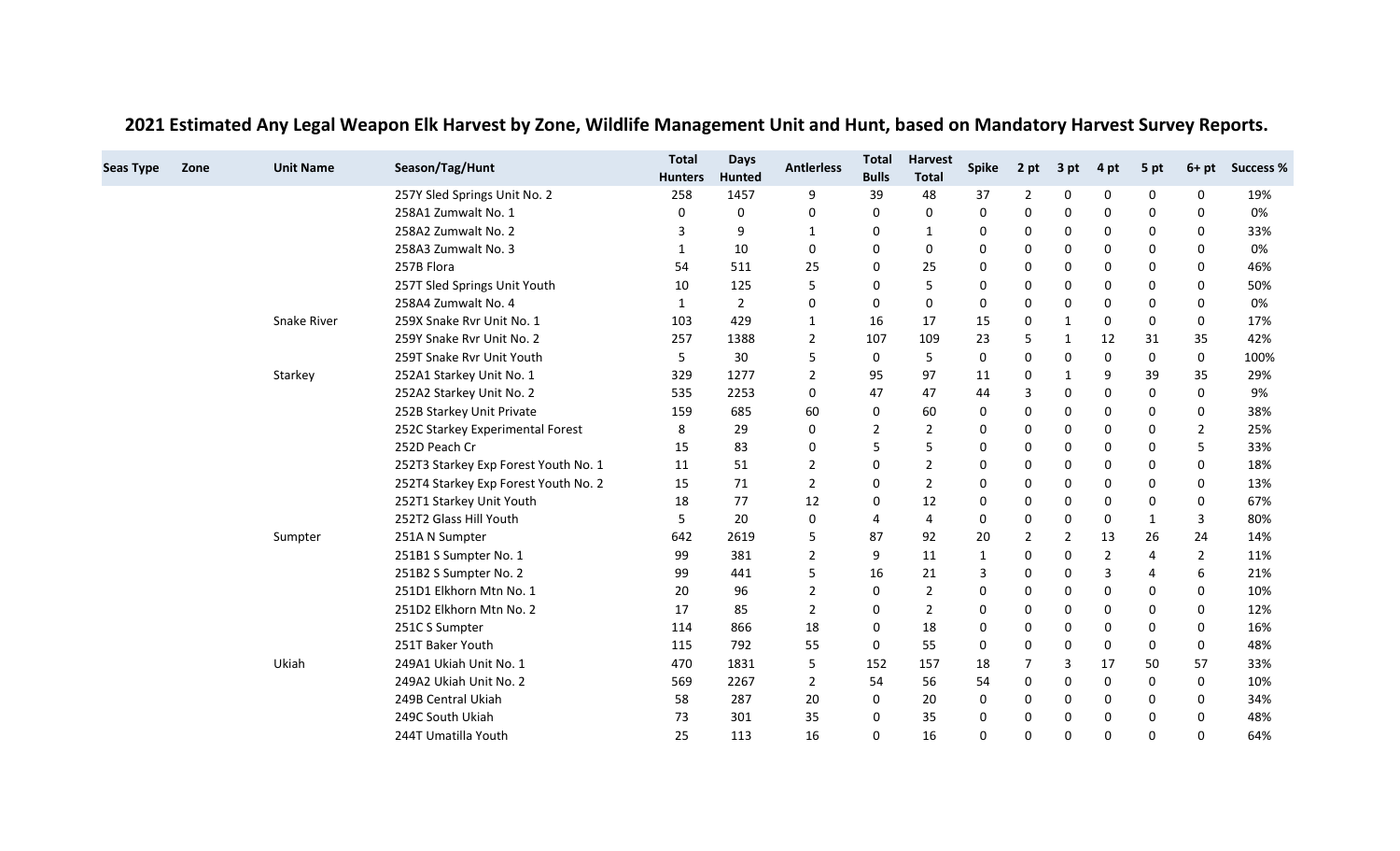| <b>Seas Type</b> | Zone | <b>Unit Name</b> | Season/Tag/Hunt                      | <b>Total</b><br><b>Hunters</b> | <b>Days</b><br><b>Hunted</b> | <b>Antierless</b> | <b>Total</b><br><b>Bulls</b> | <b>Harvest</b><br><b>Total</b> | <b>Spike</b> | 2 pt           | 3 pt           | 4 pt           | 5 pt         | $6+pt$   | <b>Success %</b> |
|------------------|------|------------------|--------------------------------------|--------------------------------|------------------------------|-------------------|------------------------------|--------------------------------|--------------|----------------|----------------|----------------|--------------|----------|------------------|
|                  |      |                  | 257Y Sled Springs Unit No. 2         | 258                            | 1457                         | 9                 | 39                           | 48                             | 37           | $\overline{2}$ | $\Omega$       | 0              | 0            | $\Omega$ | 19%              |
|                  |      |                  | 258A1 Zumwalt No. 1                  | 0                              | 0                            | 0                 | 0                            | 0                              | 0            | 0              | 0              | 0              | 0            | 0        | 0%               |
|                  |      |                  | 258A2 Zumwalt No. 2                  | 3                              | 9                            | 1                 | 0                            |                                | 0            | 0              | 0              | 0              | 0            | 0        | 33%              |
|                  |      |                  | 258A3 Zumwalt No. 3                  | 1                              | 10                           | 0                 | 0                            | 0                              | O            | 0              | 0              | 0              | 0            | 0        | 0%               |
|                  |      |                  | 257B Flora                           | 54                             | 511                          | 25                | 0                            | 25                             | O            | 0              | 0              | 0              | 0            | 0        | 46%              |
|                  |      |                  | 257T Sled Springs Unit Youth         | 10                             | 125                          | 5                 | 0                            | 5                              | 0            | 0              | 0              | 0              | 0            | $\Omega$ | 50%              |
|                  |      |                  | 258A4 Zumwalt No. 4                  | 1                              | $\overline{2}$               | 0                 | 0                            | 0                              | 0            | 0              | 0              | 0              | 0            | 0        | 0%               |
|                  |      | Snake River      | 259X Snake Rvr Unit No. 1            | 103                            | 429                          | $\mathbf{1}$      | 16                           | 17                             | 15           | 0              | -1             | 0              | 0            | 0        | 17%              |
|                  |      |                  | 259Y Snake Rvr Unit No. 2            | 257                            | 1388                         | 2                 | 107                          | 109                            | 23           | 5              | -1             | 12             | 31           | 35       | 42%              |
|                  |      |                  | 259T Snake Ryr Unit Youth            | 5                              | 30                           | 5                 | 0                            | 5                              | 0            | 0              | $\Omega$       | $\mathbf 0$    | 0            | 0        | 100%             |
|                  |      | Starkey          | 252A1 Starkey Unit No. 1             | 329                            | 1277                         | 2                 | 95                           | 97                             | 11           | 0              | 1              | 9              | 39           | 35       | 29%              |
|                  |      |                  | 252A2 Starkey Unit No. 2             | 535                            | 2253                         | 0                 | 47                           | 47                             | 44           | 3              | 0              | 0              | 0            | 0        | 9%               |
|                  |      |                  | 252B Starkey Unit Private            | 159                            | 685                          | 60                | 0                            | 60                             | 0            | 0              | 0              | 0              | 0            | 0        | 38%              |
|                  |      |                  | 252C Starkey Experimental Forest     | 8                              | 29                           | 0                 | 2                            | 2                              | 0            | 0              | 0              | 0              | 0            | 2        | 25%              |
|                  |      |                  | 252D Peach Cr                        | 15                             | 83                           | 0                 | 5                            | 5                              | 0            | 0              | 0              | 0              | 0            | 5        | 33%              |
|                  |      |                  | 252T3 Starkey Exp Forest Youth No. 1 | 11                             | 51                           | 2                 | 0                            | $\overline{2}$                 | $\Omega$     | 0              | 0              | 0              | 0            | 0        | 18%              |
|                  |      |                  | 252T4 Starkey Exp Forest Youth No. 2 | 15                             | 71                           | $\overline{2}$    | $\mathbf 0$                  | $\overline{2}$                 | $\Omega$     | 0              | $\Omega$       | 0              | 0            | $\Omega$ | 13%              |
|                  |      |                  | 252T1 Starkey Unit Youth             | 18                             | 77                           | 12                | 0                            | 12                             | 0            | $\mathbf 0$    | 0              | 0              | 0            | 0        | 67%              |
|                  |      |                  | 252T2 Glass Hill Youth               | 5                              | 20                           | 0                 | $\overline{4}$               | 4                              | 0            | 0              | 0              | 0              | $\mathbf{1}$ | 3        | 80%              |
|                  |      | Sumpter          | 251A N Sumpter                       | 642                            | 2619                         | 5                 | 87                           | 92                             | 20           | $\overline{2}$ | $\overline{2}$ | 13             | 26           | 24       | 14%              |
|                  |      |                  | 251B1 S Sumpter No. 1                | 99                             | 381                          | 2                 | 9                            | 11                             |              | 0              | 0              | $\overline{2}$ | 4            | 2        | 11%              |
|                  |      |                  | 251B2 S Sumpter No. 2                | 99                             | 441                          | 5                 | 16                           | 21                             | 3            | 0              | 0              | 3              | 4            | 6        | 21%              |
|                  |      |                  | 251D1 Elkhorn Mtn No. 1              | 20                             | 96                           | $\overline{2}$    | 0                            | 2                              | <sup>0</sup> | 0              | 0              | 0              | 0            | 0        | 10%              |
|                  |      |                  | 251D2 Elkhorn Mtn No. 2              | 17                             | 85                           | 2                 | 0                            | 2                              | $\Omega$     | 0              | 0              | 0              | 0            | 0        | 12%              |
|                  |      |                  | 251C S Sumpter                       | 114                            | 866                          | 18                | 0                            | 18                             | 0            | 0              | 0              | 0              | 0            | 0        | 16%              |
|                  |      |                  | 251T Baker Youth                     | 115                            | 792                          | 55                | $\Omega$                     | 55                             | 0            | 0              | $\Omega$       | $\mathbf{0}$   | 0            | 0        | 48%              |
|                  |      | Ukiah            | 249A1 Ukiah Unit No. 1               | 470                            | 1831                         | 5                 | 152                          | 157                            | 18           | $\overline{7}$ | 3              | 17             | 50           | 57       | 33%              |
|                  |      |                  | 249A2 Ukiah Unit No. 2               | 569                            | 2267                         | 2                 | 54                           | 56                             | 54           | 0              | 0              | 0              | 0            | 0        | 10%              |
|                  |      |                  | 249B Central Ukiah                   | 58                             | 287                          | 20                | 0                            | 20                             | 0            | 0              | 0              | 0              | 0            | 0        | 34%              |
|                  |      |                  | 249C South Ukiah                     | 73                             | 301                          | 35                | 0                            | 35                             | $\Omega$     | 0              | 0              | 0              | 0            | $\Omega$ | 48%              |
|                  |      |                  | 244T Umatilla Youth                  | 25                             | 113                          | 16                | $\Omega$                     | 16                             | $\Omega$     | $\mathbf 0$    | 0              | $\Omega$       | 0            | $\Omega$ | 64%              |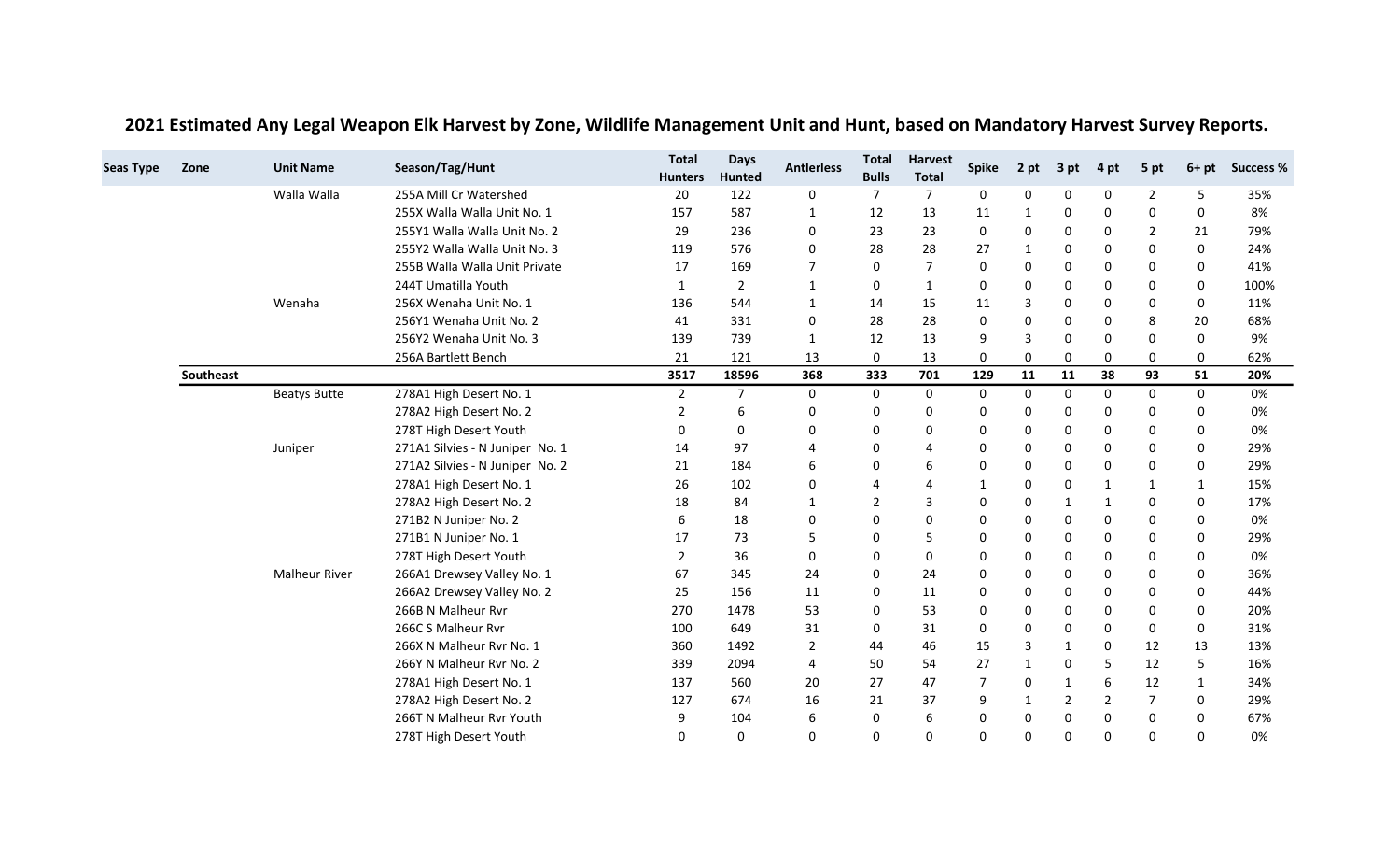| <b>Seas Type</b> | Zone      | <b>Unit Name</b>     | Season/Tag/Hunt                 | <b>Total</b><br><b>Hunters</b> | <b>Days</b><br><b>Hunted</b> | <b>Antierless</b> | <b>Total</b><br><b>Bulls</b> | <b>Harvest</b><br><b>Total</b> | <b>Spike</b> | 2 pt           | 3 pt         | 4 pt         | 5 pt           | $6+pt$       | <b>Success %</b> |
|------------------|-----------|----------------------|---------------------------------|--------------------------------|------------------------------|-------------------|------------------------------|--------------------------------|--------------|----------------|--------------|--------------|----------------|--------------|------------------|
|                  |           | Walla Walla          | 255A Mill Cr Watershed          | 20                             | 122                          | 0                 | 7                            | $\overline{7}$                 | 0            | 0              | 0            | 0            | $\overline{2}$ | 5            | 35%              |
|                  |           |                      | 255X Walla Walla Unit No. 1     | 157                            | 587                          | 1                 | 12                           | 13                             | 11           | 1              | 0            | 0            | 0              | 0            | 8%               |
|                  |           |                      | 255Y1 Walla Walla Unit No. 2    | 29                             | 236                          | 0                 | 23                           | 23                             | 0            | 0              | 0            | 0            | 2              | 21           | 79%              |
|                  |           |                      | 255Y2 Walla Walla Unit No. 3    | 119                            | 576                          | 0                 | 28                           | 28                             | 27           | 1              | 0            | 0            | 0              | 0            | 24%              |
|                  |           |                      | 255B Walla Walla Unit Private   | 17                             | 169                          | $\overline{7}$    | $\Omega$                     | $\overline{7}$                 | 0            | 0              | 0            | $\Omega$     | 0              | 0            | 41%              |
|                  |           |                      | 244T Umatilla Youth             | $\mathbf{1}$                   | $\overline{2}$               | $\mathbf{1}$      | 0                            | $\mathbf{1}$                   | $\Omega$     | 0              | 0            | 0            | 0              | $\Omega$     | 100%             |
|                  |           | Wenaha               | 256X Wenaha Unit No. 1          | 136                            | 544                          | $\mathbf{1}$      | 14                           | 15                             | 11           | $\mathbf{3}$   | 0            | 0            | 0              | 0            | 11%              |
|                  |           |                      | 256Y1 Wenaha Unit No. 2         | 41                             | 331                          | 0                 | 28                           | 28                             | $\Omega$     | $\mathbf 0$    | $\mathbf{0}$ | $\Omega$     | 8              | 20           | 68%              |
|                  |           |                      | 256Y2 Wenaha Unit No. 3         | 139                            | 739                          | $\mathbf{1}$      | 12                           | 13                             | 9            | 3              | 0            | $\Omega$     | 0              | 0            | 9%               |
|                  |           |                      | 256A Bartlett Bench             | 21                             | 121                          | 13                | $\mathbf 0$                  | 13                             | 0            | 0              | 0            | 0            | 0              | 0            | 62%              |
|                  | Southeast |                      |                                 | 3517                           | 18596                        | 368               | 333                          | 701                            | 129          | 11             | 11           | 38           | 93             | 51           | 20%              |
|                  |           | <b>Beatys Butte</b>  | 278A1 High Desert No. 1         | $\overline{2}$                 | $\overline{7}$               | 0                 | 0                            | 0                              | 0            | 0              | 0            | 0            | 0              | 0            | 0%               |
|                  |           |                      | 278A2 High Desert No. 2         | 2                              | 6                            | $\mathbf 0$       | $\Omega$                     | 0                              | $\Omega$     | 0              | 0            | 0            | 0              | 0            | 0%               |
|                  |           |                      | 278T High Desert Youth          | 0                              | 0                            | 0                 | 0                            | 0                              | 0            | 0              | 0            | 0            | 0              | 0            | 0%               |
|                  |           | Juniper              | 271A1 Silvies - N Juniper No. 1 | 14                             | 97                           | 4                 | $\Omega$                     | 4                              | <sup>0</sup> | 0              | 0            | $\Omega$     | 0              | $\Omega$     | 29%              |
|                  |           |                      | 271A2 Silvies - N Juniper No. 2 | 21                             | 184                          | 6                 | 0                            | 6                              | $\Omega$     | 0              | 0            | 0            | 0              | $\Omega$     | 29%              |
|                  |           |                      | 278A1 High Desert No. 1         | 26                             | 102                          | 0                 | $\overline{a}$               | 4                              |              | 0              | 0            | $\mathbf{1}$ | $\mathbf{1}$   | $\mathbf{1}$ | 15%              |
|                  |           |                      | 278A2 High Desert No. 2         | 18                             | 84                           | $\mathbf{1}$      | 2                            | 3                              | 0            | 0              | $\mathbf{1}$ | 1            | 0              | $\Omega$     | 17%              |
|                  |           |                      | 271B2 N Juniper No. 2           | 6                              | 18                           | 0                 | 0                            | 0                              | $\Omega$     | 0              | 0            | 0            | 0              | 0            | 0%               |
|                  |           |                      | 271B1 N Juniper No. 1           | 17                             | 73                           | 5                 | 0                            | 5                              | $\Omega$     | 0              | 0            | 0            | 0              | 0            | 29%              |
|                  |           |                      | 278T High Desert Youth          | $\overline{2}$                 | 36                           | 0                 | 0                            | 0                              | 0            | 0              | 0            | 0            | 0              | 0            | 0%               |
|                  |           | <b>Malheur River</b> | 266A1 Drewsey Valley No. 1      | 67                             | 345                          | 24                | $\Omega$                     | 24                             | 0            | 0              | $\mathbf{0}$ | 0            | 0              | $\Omega$     | 36%              |
|                  |           |                      | 266A2 Drewsey Valley No. 2      | 25                             | 156                          | 11                | 0                            | 11                             | 0            | 0              | 0            | $\Omega$     | 0              | 0            | 44%              |
|                  |           |                      | 266B N Malheur Rvr              | 270                            | 1478                         | 53                | $\mathbf 0$                  | 53                             | $\Omega$     | $\mathbf 0$    | 0            | 0            | 0              | 0            | 20%              |
|                  |           |                      | 266C S Malheur Rvr              | 100                            | 649                          | 31                | 0                            | 31                             | 0            | 0              | 0            | 0            | 0              | 0            | 31%              |
|                  |           |                      | 266X N Malheur Rvr No. 1        | 360                            | 1492                         | $\overline{2}$    | 44                           | 46                             | 15           | $\overline{3}$ | 1            | $\Omega$     | 12             | 13           | 13%              |
|                  |           |                      | 266Y N Malheur Rvr No. 2        | 339                            | 2094                         | 4                 | 50                           | 54                             | 27           | $\mathbf{1}$   | 0            | 5            | 12             | 5            | 16%              |
|                  |           |                      | 278A1 High Desert No. 1         | 137                            | 560                          | 20                | 27                           | 47                             | 7            | 0              | 1            | 6            | 12             | 1            | 34%              |
|                  |           |                      | 278A2 High Desert No. 2         | 127                            | 674                          | 16                | 21                           | 37                             | 9            | 1              | 2            | 2            | 7              | 0            | 29%              |
|                  |           |                      | 266T N Malheur Rvr Youth        | 9                              | 104                          | 6                 | 0                            | 6                              | <sup>0</sup> | 0              | 0            | 0            | 0              | $\Omega$     | 67%              |
|                  |           |                      | 278T High Desert Youth          | $\Omega$                       | $\Omega$                     | $\Omega$          | $\Omega$                     | 0                              | $\Omega$     | $\Omega$       | $\Omega$     | $\Omega$     | 0              | $\Omega$     | 0%               |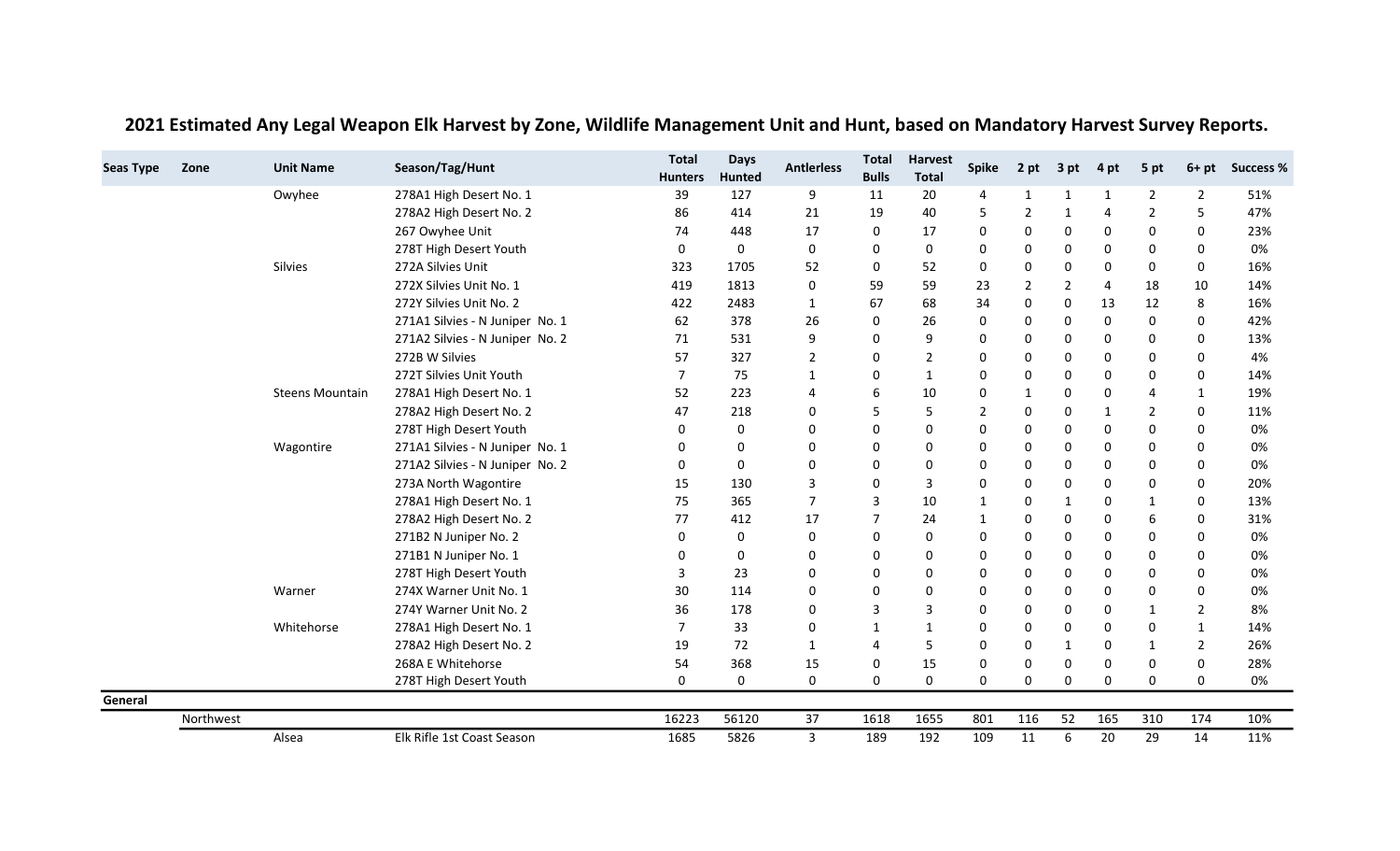| <b>Seas Type</b> | Zone      | <b>Unit Name</b>       | Season/Tag/Hunt                 | <b>Total</b><br><b>Hunters</b> | <b>Days</b><br><b>Hunted</b> | <b>Antierless</b> | <b>Total</b><br><b>Bulls</b> | <b>Harvest</b><br><b>Total</b> | <b>Spike</b> | 2 pt           | 3 pt         | 4 pt           | 5 pt           | $6+pt$         | <b>Success %</b> |
|------------------|-----------|------------------------|---------------------------------|--------------------------------|------------------------------|-------------------|------------------------------|--------------------------------|--------------|----------------|--------------|----------------|----------------|----------------|------------------|
|                  |           | Owyhee                 | 278A1 High Desert No. 1         | 39                             | 127                          | 9                 | 11                           | 20                             | 4            | $\mathbf{1}$   | 1            | 1              | $\overline{2}$ | $\overline{2}$ | 51%              |
|                  |           |                        | 278A2 High Desert No. 2         | 86                             | 414                          | 21                | 19                           | 40                             | .5           | $\overline{2}$ | $\mathbf{1}$ | $\overline{4}$ | $\overline{2}$ | 5              | 47%              |
|                  |           |                        | 267 Owyhee Unit                 | 74                             | 448                          | 17                | 0                            | 17                             | 0            | 0              | 0            | 0              | 0              | 0              | 23%              |
|                  |           |                        | 278T High Desert Youth          | 0                              | 0                            | 0                 | 0                            | 0                              | $\Omega$     | 0              | 0            | 0              | 0              | 0              | 0%               |
|                  |           | <b>Silvies</b>         | 272A Silvies Unit               | 323                            | 1705                         | 52                | 0                            | 52                             | $\Omega$     | $\mathbf 0$    | 0            | $\mathbf{0}$   | 0              | $\Omega$       | 16%              |
|                  |           |                        | 272X Silvies Unit No. 1         | 419                            | 1813                         | 0                 | 59                           | 59                             | 23           | $\overline{2}$ | 2            | $\overline{4}$ | 18             | 10             | 14%              |
|                  |           |                        | 272Y Silvies Unit No. 2         | 422                            | 2483                         | 1                 | 67                           | 68                             | 34           | $\mathbf 0$    | $\mathbf{0}$ | 13             | 12             | 8              | 16%              |
|                  |           |                        | 271A1 Silvies - N Juniper No. 1 | 62                             | 378                          | 26                | 0                            | 26                             | 0            | 0              | 0            | $\mathbf 0$    | 0              | 0              | 42%              |
|                  |           |                        | 271A2 Silvies - N Juniper No. 2 | 71                             | 531                          | 9                 | 0                            | 9                              | $\Omega$     | 0              | 0            | 0              | 0              | 0              | 13%              |
|                  |           |                        | 272B W Silvies                  | 57                             | 327                          | $\overline{2}$    | 0                            | 2                              | 0            | $\mathbf 0$    | 0            | 0              | 0              | 0              | 4%               |
|                  |           |                        | 272T Silvies Unit Youth         | $\overline{7}$                 | 75                           | 1                 | 0                            | 1                              | 0            | 0              | 0            | 0              | 0              | 0              | 14%              |
|                  |           | <b>Steens Mountain</b> | 278A1 High Desert No. 1         | 52                             | 223                          | $\overline{4}$    | 6                            | 10                             | O            | 1              | 0            | $\Omega$       | 4              | 1              | 19%              |
|                  |           |                        | 278A2 High Desert No. 2         | 47                             | 218                          | $\mathbf 0$       | 5                            | 5                              | 2            | $\mathbf 0$    | $\mathbf 0$  | $\mathbf{1}$   | 2              | $\Omega$       | 11%              |
|                  |           |                        | 278T High Desert Youth          | 0                              | 0                            | 0                 | 0                            | 0                              |              | 0              | 0            | 0              | 0              | 0              | 0%               |
|                  |           | Wagontire              | 271A1 Silvies - N Juniper No. 1 | 0                              | 0                            | 0                 | $\Omega$                     | 0                              | n            | 0              | 0            | 0              | 0              | 0              | 0%               |
|                  |           |                        | 271A2 Silvies - N Juniper No. 2 | 0                              | 0                            | 0                 | 0                            | 0                              | O            | 0              | 0            | $\Omega$       | 0              | 0              | 0%               |
|                  |           |                        | 273A North Wagontire            | 15                             | 130                          | 3                 | $\mathbf 0$                  | 3                              | $\Omega$     | 0              | 0            | 0              | 0              | 0              | 20%              |
|                  |           |                        | 278A1 High Desert No. 1         | 75                             | 365                          | $\overline{7}$    | $\overline{3}$               | 10                             | $\mathbf 1$  | 0              | 1            | $\Omega$       | $\mathbf{1}$   | 0              | 13%              |
|                  |           |                        | 278A2 High Desert No. 2         | 77                             | 412                          | 17                | 7                            | 24                             |              | 0              | 0            | 0              | 6              | 0              | 31%              |
|                  |           |                        | 271B2 N Juniper No. 2           | 0                              | 0                            | 0                 | 0                            | 0                              |              | 0              | 0            | $\mathbf{0}$   | 0              | 0              | 0%               |
|                  |           |                        | 271B1 N Juniper No. 1           | 0                              | 0                            | $\Omega$          | $\Omega$                     | 0                              | O            | 0              | 0            | 0              | 0              | 0              | 0%               |
|                  |           |                        | 278T High Desert Youth          | 3                              | 23                           | 0                 | 0                            | 0                              |              | 0              | 0            | 0              | 0              | 0              | 0%               |
|                  |           | Warner                 | 274X Warner Unit No. 1          | 30                             | 114                          | $\Omega$          | $\Omega$                     | 0                              | $\Omega$     | 0              | 0            | $\Omega$       | 0              | 0              | 0%               |
|                  |           |                        | 274Y Warner Unit No. 2          | 36                             | 178                          | 0                 | 3                            | 3                              | $\Omega$     | $\mathbf 0$    | 0            | 0              | $\mathbf{1}$   | $\overline{2}$ | 8%               |
|                  |           | Whitehorse             | 278A1 High Desert No. 1         | 7                              | 33                           | 0                 | $\mathbf{1}$                 | $\mathbf{1}$                   | O            | 0              | 0            | 0              | 0              | 1              | 14%              |
|                  |           |                        | 278A2 High Desert No. 2         | 19                             | 72                           | 1                 | $\overline{4}$               | 5                              | O            | 0              | $\mathbf{1}$ | $\Omega$       | 1              | $\overline{2}$ | 26%              |
|                  |           |                        | 268A E Whitehorse               | 54                             | 368                          | 15                | 0                            | 15                             | $\Omega$     | 0              | 0            | 0              | 0              | 0              | 28%              |
|                  |           |                        | 278T High Desert Youth          | 0                              | 0                            | 0                 | 0                            | 0                              | 0            | 0              | 0            | $\mathbf{0}$   | 0              | 0              | 0%               |
| General          |           |                        |                                 |                                |                              |                   |                              |                                |              |                |              |                |                |                |                  |
|                  | Northwest |                        |                                 | 16223                          | 56120                        | 37                | 1618                         | 1655                           | 801          | 116            | 52           | 165            | 310            | 174            | 10%              |
|                  |           | Alsea                  | Elk Rifle 1st Coast Season      | 1685                           | 5826                         | 3                 | 189                          | 192                            | 109          | 11             | 6            | 20             | 29             | 14             | 11%              |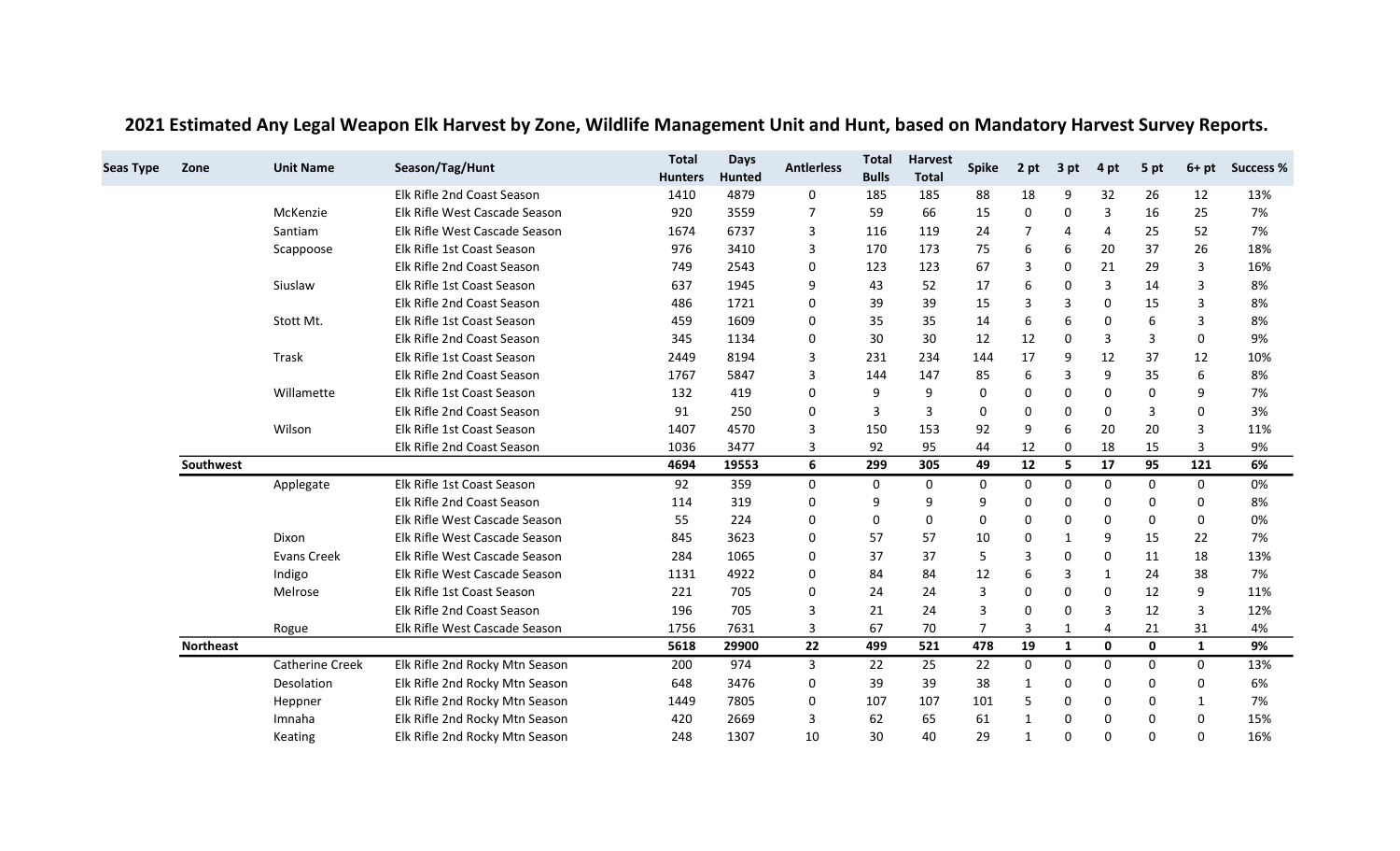| <b>Seas Type</b> | Zone             | <b>Unit Name</b>       | Season/Tag/Hunt                | <b>Total</b>   | <b>Days</b>   | <b>Antierless</b> | <b>Total</b> | <b>Harvest</b> | <b>Spike</b> | 2 pt           | 3 pt           |              | 5 pt        | $6+pt$       | <b>Success %</b> |
|------------------|------------------|------------------------|--------------------------------|----------------|---------------|-------------------|--------------|----------------|--------------|----------------|----------------|--------------|-------------|--------------|------------------|
|                  |                  |                        |                                | <b>Hunters</b> | <b>Hunted</b> |                   | <b>Bulls</b> | <b>Total</b>   |              |                |                | 4 pt         |             |              |                  |
|                  |                  |                        | Elk Rifle 2nd Coast Season     | 1410           | 4879          | 0                 | 185          | 185            | 88           | 18             | 9              | 32           | 26          | 12           | 13%              |
|                  |                  | McKenzie               | Elk Rifle West Cascade Season  | 920            | 3559          | 7                 | 59           | 66             | 15           | 0              | 0              | 3            | 16          | 25           | 7%               |
|                  |                  | Santiam                | Elk Rifle West Cascade Season  | 1674           | 6737          | 3                 | 116          | 119            | 24           | $\overline{7}$ | $\overline{4}$ | 4            | 25          | 52           | 7%               |
|                  |                  | Scappoose              | Elk Rifle 1st Coast Season     | 976            | 3410          | 3                 | 170          | 173            | 75           | 6              | 6              | 20           | 37          | 26           | 18%              |
|                  |                  |                        | Elk Rifle 2nd Coast Season     | 749            | 2543          | 0                 | 123          | 123            | 67           | 3              | $\Omega$       | 21           | 29          | 3            | 16%              |
|                  |                  | Siuslaw                | Elk Rifle 1st Coast Season     | 637            | 1945          | 9                 | 43           | 52             | 17           | 6              | $\Omega$       | 3            | 14          | 3            | 8%               |
|                  |                  |                        | Elk Rifle 2nd Coast Season     | 486            | 1721          | $\Omega$          | 39           | 39             | 15           | 3              | 3              | $\Omega$     | 15          | 3            | 8%               |
|                  |                  | Stott Mt.              | Elk Rifle 1st Coast Season     | 459            | 1609          | 0                 | 35           | 35             | 14           | 6              | 6              | 0            | 6           | 3            | 8%               |
|                  |                  |                        | Elk Rifle 2nd Coast Season     | 345            | 1134          | 0                 | 30           | 30             | 12           | 12             | $\Omega$       | 3            | 3           | 0            | 9%               |
|                  |                  | Trask                  | Elk Rifle 1st Coast Season     | 2449           | 8194          | 3                 | 231          | 234            | 144          | 17             | 9              | 12           | 37          | 12           | 10%              |
|                  |                  |                        | Elk Rifle 2nd Coast Season     | 1767           | 5847          | 3                 | 144          | 147            | 85           | 6              | 3              | 9            | 35          | 6            | 8%               |
|                  |                  | Willamette             | Elk Rifle 1st Coast Season     | 132            | 419           | $\Omega$          | 9            | 9              | 0            | $\mathbf 0$    | $\Omega$       | $\Omega$     | 0           | 9            | 7%               |
|                  |                  |                        | Elk Rifle 2nd Coast Season     | 91             | 250           | 0                 | 3            | 3              | 0            | $\Omega$       | $\Omega$       | $\Omega$     | 3           | 0            | 3%               |
|                  |                  | Wilson                 | Elk Rifle 1st Coast Season     | 1407           | 4570          | $\overline{3}$    | 150          | 153            | 92           | 9              | 6              | 20           | 20          | 3            | 11%              |
|                  |                  |                        | Elk Rifle 2nd Coast Season     | 1036           | 3477          | 3                 | 92           | 95             | 44           | 12             | 0              | 18           | 15          | 3            | 9%               |
|                  | Southwest        |                        |                                | 4694           | 19553         | 6                 | 299          | 305            | 49           | 12             | 5              | 17           | 95          | 121          | 6%               |
|                  |                  | Applegate              | Elk Rifle 1st Coast Season     | 92             | 359           | 0                 | $\mathbf 0$  | 0              | $\mathbf 0$  | 0              | 0              | $\mathbf 0$  | $\mathbf 0$ | 0            | 0%               |
|                  |                  |                        | Elk Rifle 2nd Coast Season     | 114            | 319           | 0                 | 9            | 9              | 9            | 0              | $\Omega$       | 0            | 0           | 0            | 8%               |
|                  |                  |                        | Elk Rifle West Cascade Season  | 55             | 224           | $\Omega$          | $\Omega$     | 0              | $\Omega$     | 0              | $\Omega$       | $\Omega$     | 0           | 0            | 0%               |
|                  |                  | Dixon                  | Elk Rifle West Cascade Season  | 845            | 3623          | $\Omega$          | 57           | 57             | 10           | $\Omega$       | $\mathbf{1}$   | 9            | 15          | 22           | 7%               |
|                  |                  | <b>Evans Creek</b>     | Elk Rifle West Cascade Season  | 284            | 1065          | 0                 | 37           | 37             | 5            | $\overline{3}$ | $\Omega$       | $\Omega$     | 11          | 18           | 13%              |
|                  |                  | Indigo                 | Elk Rifle West Cascade Season  | 1131           | 4922          | 0                 | 84           | 84             | 12           | 6              | 3              | 1            | 24          | 38           | 7%               |
|                  |                  | Melrose                | Elk Rifle 1st Coast Season     | 221            | 705           | 0                 | 24           | 24             | 3            | $\mathbf 0$    | 0              | $\Omega$     | 12          | 9            | 11%              |
|                  |                  |                        | Elk Rifle 2nd Coast Season     | 196            | 705           | 3                 | 21           | 24             | 3            | $\Omega$       | $\Omega$       | 3            | 12          | 3            | 12%              |
|                  |                  | Rogue                  | Elk Rifle West Cascade Season  | 1756           | 7631          | 3                 | 67           | 70             |              | 3              | 1              | 4            | 21          | 31           | 4%               |
|                  | <b>Northeast</b> |                        |                                | 5618           | 29900         | 22                | 499          | 521            | 478          | 19             | 1              | $\mathbf{0}$ | $\mathbf 0$ | $\mathbf{1}$ | 9%               |
|                  |                  | <b>Catherine Creek</b> | Elk Rifle 2nd Rocky Mtn Season | 200            | 974           | 3                 | 22           | 25             | 22           | $\Omega$       | $\Omega$       | $\Omega$     | $\Omega$    | $\Omega$     | 13%              |
|                  |                  | Desolation             | Elk Rifle 2nd Rocky Mtn Season | 648            | 3476          | 0                 | 39           | 39             | 38           | 1              | 0              | $\Omega$     | 0           | 0            | 6%               |
|                  |                  | Heppner                | Elk Rifle 2nd Rocky Mtn Season | 1449           | 7805          | 0                 | 107          | 107            | 101          | 5              | $\Omega$       | 0            | 0           | 1            | 7%               |
|                  |                  | Imnaha                 | Elk Rifle 2nd Rocky Mtn Season | 420            | 2669          | 3                 | 62           | 65             | 61           | $\mathbf{1}$   | 0              | $\Omega$     | 0           | 0            | 15%              |
|                  |                  | Keating                | Elk Rifle 2nd Rocky Mtn Season | 248            | 1307          | 10                | 30           | 40             | 29           | $\mathbf{1}$   | $\Omega$       | $\Omega$     | 0           | 0            | 16%              |

2021 Estimated Any Legal Weapon Elk Harvest by Zone, Wildlife Management Unit and Hunt, based on Mandatory Harvest Survey Reports.